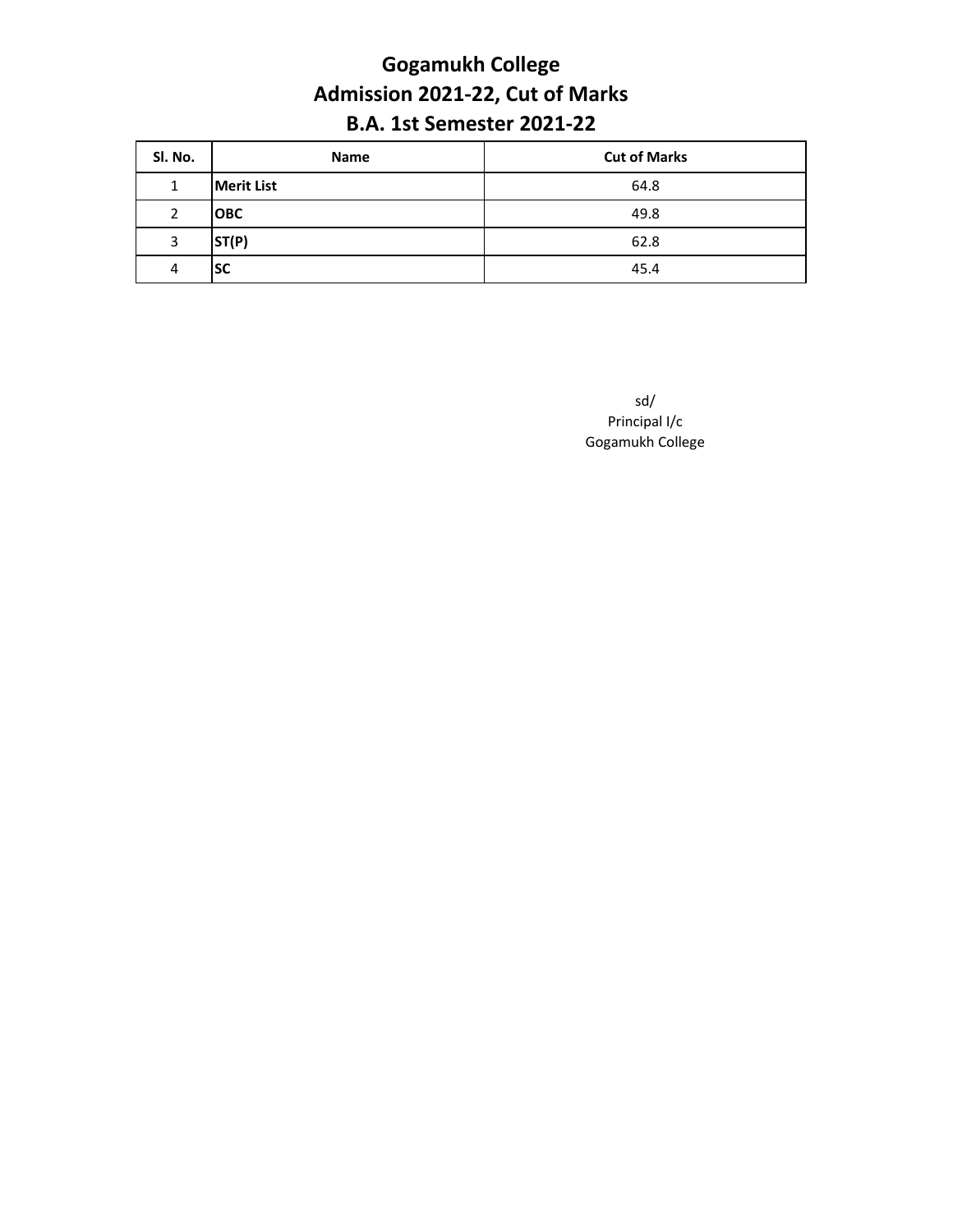#### **Gogamukh College Admission 2021-22, Cut of Marks B.A. 1st Semester 2021-22**

| SI. No. | Name              | <b>Cut of Marks</b> |
|---------|-------------------|---------------------|
| 1       | <b>Merit List</b> | 64.8                |
| 2       | <b>OBC</b>        | 49.8                |
| 3       | ST(P)             | 62.8                |
| 4       | <b>SC</b>         | 45.4                |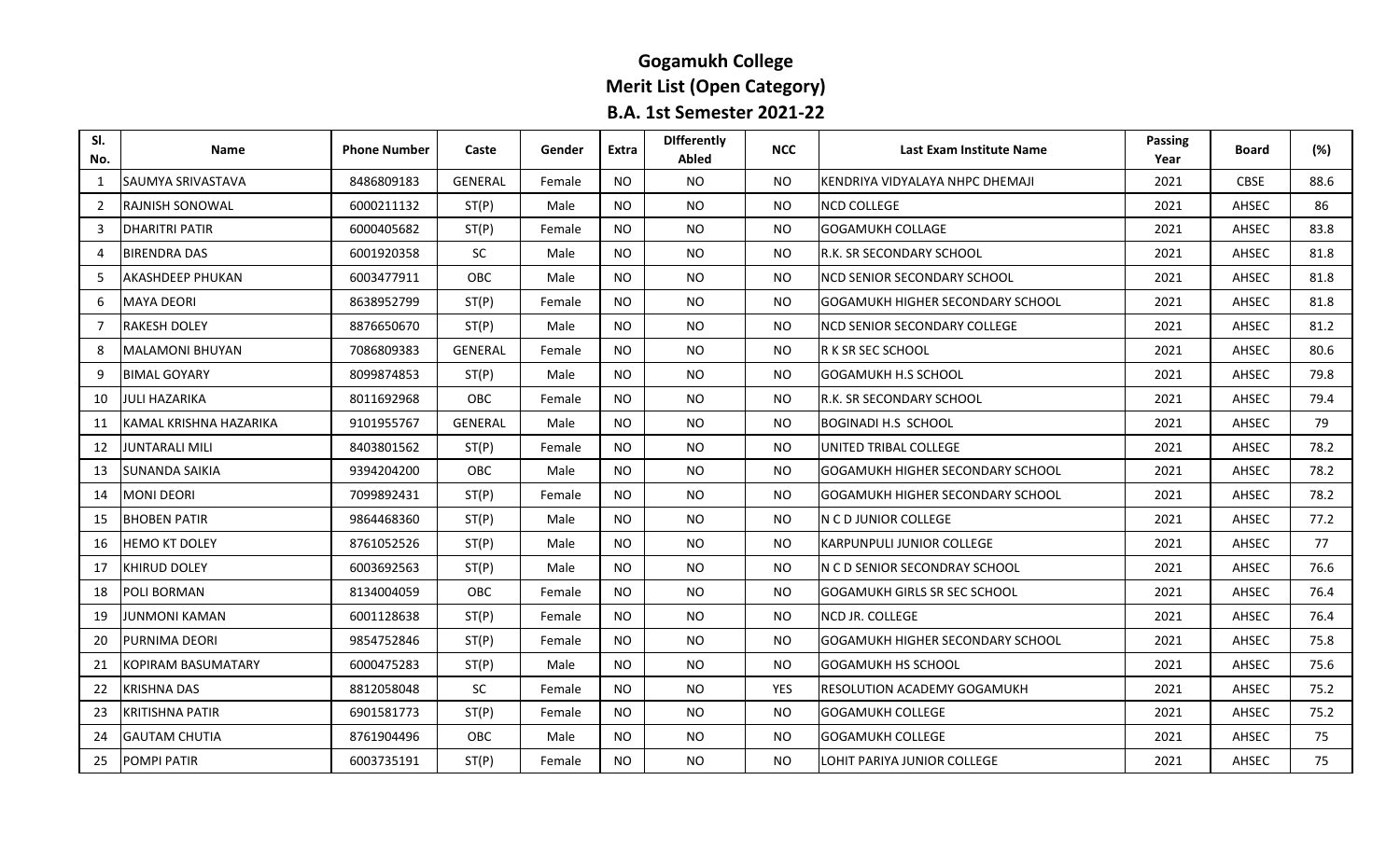## **Gogamukh College Merit List (Open Category) B.A. 1st Semester 2021-22**

| SI.<br>No.     | <b>Name</b>            | <b>Phone Number</b> | Caste          | Gender | Extra     | <b>Differently</b><br><b>Abled</b> | <b>NCC</b> | Last Exam Institute Name                | <b>Passing</b><br>Year | <b>Board</b> | (%)  |
|----------------|------------------------|---------------------|----------------|--------|-----------|------------------------------------|------------|-----------------------------------------|------------------------|--------------|------|
| $\mathbf{1}$   | SAUMYA SRIVASTAVA      | 8486809183          | <b>GENERAL</b> | Female | <b>NO</b> | NO.                                | NO.        | KENDRIYA VIDYALAYA NHPC DHEMAJI         | 2021                   | <b>CBSE</b>  | 88.6 |
| 2              | RAJNISH SONOWAL        | 6000211132          | ST(P)          | Male   | <b>NO</b> | <b>NO</b>                          | <b>NO</b>  | <b>NCD COLLEGE</b>                      | 2021                   | AHSEC        | 86   |
| 3              | <b>DHARITRI PATIR</b>  | 6000405682          | ST(P)          | Female | <b>NO</b> | NO.                                | <b>NO</b>  | <b>GOGAMUKH COLLAGE</b>                 | 2021                   | AHSEC        | 83.8 |
| $\overline{4}$ | <b>BIRENDRA DAS</b>    | 6001920358          | <b>SC</b>      | Male   | <b>NO</b> | NO.                                | <b>NO</b>  | R.K. SR SECONDARY SCHOOL                | 2021                   | AHSEC        | 81.8 |
| -5             | AKASHDEEP PHUKAN       | 6003477911          | <b>OBC</b>     | Male   | NO.       | NO.                                | <b>NO</b>  | INCD SENIOR SECONDARY SCHOOL            | 2021                   | AHSEC        | 81.8 |
| 6              | MAYA DEORI             | 8638952799          | ST(P)          | Female | <b>NO</b> | NO.                                | <b>NO</b>  | <b>GOGAMUKH HIGHER SECONDARY SCHOOL</b> | 2021                   | AHSEC        | 81.8 |
| $\overline{7}$ | <b>RAKESH DOLEY</b>    | 8876650670          | ST(P)          | Male   | <b>NO</b> | <b>NO</b>                          | <b>NO</b>  | <b>NCD SENIOR SECONDARY COLLEGE</b>     | 2021                   | AHSEC        | 81.2 |
| 8              | MALAMONI BHUYAN        | 7086809383          | <b>GENERAL</b> | Female | NO.       | NO.                                | <b>NO</b>  | IR K SR SEC SCHOOL                      | 2021                   | AHSEC        | 80.6 |
| 9              | <b>BIMAL GOYARY</b>    | 8099874853          | ST(P)          | Male   | <b>NO</b> | NO.                                | NO.        | <b>GOGAMUKH H.S SCHOOL</b>              | 2021                   | AHSEC        | 79.8 |
| 10             | JULI HAZARIKA          | 8011692968          | OBC            | Female | NO.       | <b>NO</b>                          | <b>NO</b>  | <b>R.K. SR SECONDARY SCHOOL</b>         | 2021                   | AHSEC        | 79.4 |
| 11             | KAMAL KRISHNA HAZARIKA | 9101955767          | <b>GENERAL</b> | Male   | <b>NO</b> | NO.                                | <b>NO</b>  | <b>BOGINADI H.S SCHOOL</b>              | 2021                   | AHSEC        | 79   |
| 12             | JUNTARALI MILI         | 8403801562          | ST(P)          | Female | <b>NO</b> | <b>NO</b>                          | <b>NO</b>  | UNITED TRIBAL COLLEGE                   | 2021                   | AHSEC        | 78.2 |
| 13             | SUNANDA SAIKIA         | 9394204200          | <b>OBC</b>     | Male   | NO.       | NO.                                | NO.        | IGOGAMUKH HIGHER SECONDARY SCHOOL       | 2021                   | AHSEC        | 78.2 |
| 14             | <b>MONI DEORI</b>      | 7099892431          | ST(P)          | Female | <b>NO</b> | <b>NO</b>                          | NO.        | <b>GOGAMUKH HIGHER SECONDARY SCHOOL</b> | 2021                   | AHSEC        | 78.2 |
| 15             | <b>BHOBEN PATIR</b>    | 9864468360          | ST(P)          | Male   | <b>NO</b> | NO.                                | <b>NO</b>  | IN C D JUNIOR COLLEGE                   | 2021                   | AHSEC        | 77.2 |
| 16             | HEMO KT DOLEY          | 8761052526          | ST(P)          | Male   | NO.       | NO.                                | NO.        | KARPUNPULI JUNIOR COLLEGE               | 2021                   | AHSEC        | 77   |
| 17             | KHIRUD DOLEY           | 6003692563          | ST(P)          | Male   | <b>NO</b> | <b>NO</b>                          | NO.        | IN C D SENIOR SECONDRAY SCHOOL          | 2021                   | AHSEC        | 76.6 |
| 18             | POLI BORMAN            | 8134004059          | <b>OBC</b>     | Female | <b>NO</b> | NO.                                | <b>NO</b>  | <b>GOGAMUKH GIRLS SR SEC SCHOOL</b>     | 2021                   | AHSEC        | 76.4 |
| 19             | JUNMONI KAMAN          | 6001128638          | ST(P)          | Female | <b>NO</b> | <b>NO</b>                          | <b>NO</b>  | NCD JR. COLLEGE                         | 2021                   | AHSEC        | 76.4 |
| 20             | PURNIMA DEORI          | 9854752846          | ST(P)          | Female | <b>NO</b> | NO.                                | <b>NO</b>  | GOGAMUKH HIGHER SECONDARY SCHOOL        | 2021                   | AHSEC        | 75.8 |
| 21             | KOPIRAM BASUMATARY     | 6000475283          | ST(P)          | Male   | NO.       | NO.                                | NO.        | IGOGAMUKH HS SCHOOL                     | 2021                   | AHSEC        | 75.6 |
| 22             | <b>KRISHNA DAS</b>     | 8812058048          | SC             | Female | <b>NO</b> | <b>NO</b>                          | YES        | <b>RESOLUTION ACADEMY GOGAMUKH</b>      | 2021                   | AHSEC        | 75.2 |
| 23             | <b>KRITISHNA PATIR</b> | 6901581773          | ST(P)          | Female | <b>NO</b> | NO.                                | <b>NO</b>  | <b>GOGAMUKH COLLEGE</b>                 | 2021                   | AHSEC        | 75.2 |
| 24             | <b>GAUTAM CHUTIA</b>   | 8761904496          | OBC            | Male   | <b>NO</b> | NO.                                | <b>NO</b>  | <b>GOGAMUKH COLLEGE</b>                 | 2021                   | AHSEC        | 75   |
| 25             | POMPI PATIR            | 6003735191          | ST(P)          | Female | <b>NO</b> | <b>NO</b>                          | NO.        | LOHIT PARIYA JUNIOR COLLEGE             | 2021                   | AHSEC        | 75   |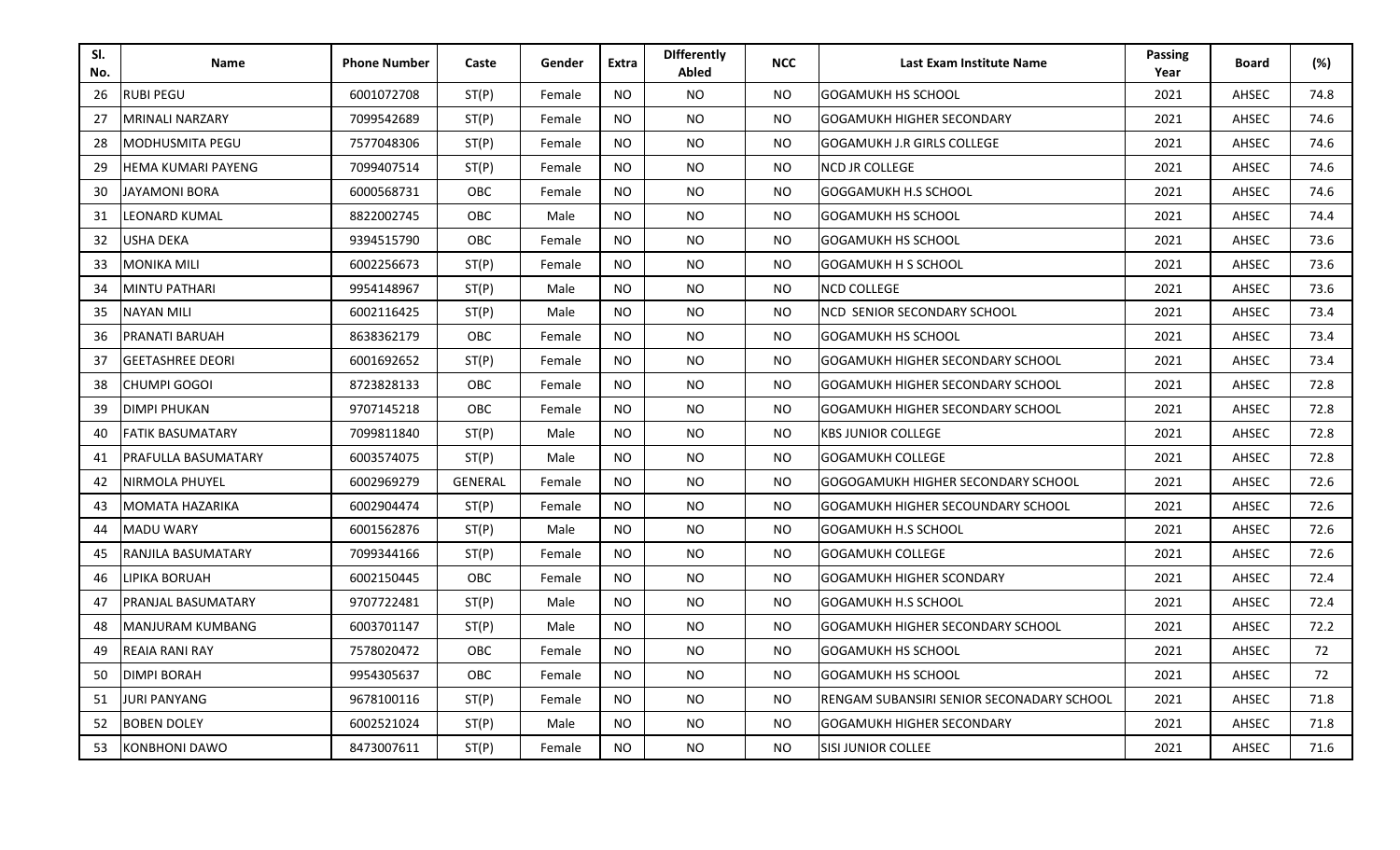| SI.<br>No. | <b>Name</b>               | <b>Phone Number</b> | Caste          | Gender | Extra     | <b>Differently</b><br>Abled | <b>NCC</b>     | Last Exam Institute Name                  | <b>Passing</b><br>Year | <b>Board</b> | (%)  |
|------------|---------------------------|---------------------|----------------|--------|-----------|-----------------------------|----------------|-------------------------------------------|------------------------|--------------|------|
| 26         | <b>RUBI PEGU</b>          | 6001072708          | ST(P)          | Female | <b>NO</b> | NO.                         | NO.            | GOGAMUKH HS SCHOOL                        | 2021                   | AHSEC        | 74.8 |
| 27         | <b>MRINALI NARZARY</b>    | 7099542689          | ST(P)          | Female | <b>NO</b> | <b>NO</b>                   | <b>NO</b>      | <b>GOGAMUKH HIGHER SECONDARY</b>          | 2021                   | AHSEC        | 74.6 |
| 28         | MODHUSMITA PEGU           | 7577048306          | ST(P)          | Female | <b>NO</b> | <b>NO</b>                   | NO.            | <b>GOGAMUKH J.R GIRLS COLLEGE</b>         | 2021                   | AHSEC        | 74.6 |
| 29         | <b>HEMA KUMARI PAYENG</b> | 7099407514          | ST(P)          | Female | <b>NO</b> | <b>NO</b>                   | NO.            | <b>NCD JR COLLEGE</b>                     | 2021                   | AHSEC        | 74.6 |
| 30         | <b>JAYAMONI BORA</b>      | 6000568731          | <b>OBC</b>     | Female | <b>NO</b> | <b>NO</b>                   | <b>NO</b>      | GOGGAMUKH H.S SCHOOL                      | 2021                   | AHSEC        | 74.6 |
| 31         | LEONARD KUMAL             | 8822002745          | <b>OBC</b>     | Male   | <b>NO</b> | <b>NO</b>                   | NO.            | GOGAMUKH HS SCHOOL                        | 2021                   | AHSEC        | 74.4 |
| 32         | USHA DEKA                 | 9394515790          | OBC            | Female | <b>NO</b> | <b>NO</b>                   | <b>NO</b>      | <b>GOGAMUKH HS SCHOOL</b>                 | 2021                   | AHSEC        | 73.6 |
| 33         | MONIKA MILI               | 6002256673          | ST(P)          | Female | <b>NO</b> | <b>NO</b>                   | <b>NO</b>      | <b>GOGAMUKH H S SCHOOL</b>                | 2021                   | AHSEC        | 73.6 |
| 34         | MINTU PATHARI             | 9954148967          | ST(P)          | Male   | <b>NO</b> | <b>NO</b>                   | <b>NO</b>      | <b>NCD COLLEGE</b>                        | 2021                   | AHSEC        | 73.6 |
| 35         | <b>NAYAN MILI</b>         | 6002116425          | ST(P)          | Male   | <b>NO</b> | NO.                         | <b>NO</b>      | NCD SENIOR SECONDARY SCHOOL               | 2021                   | AHSEC        | 73.4 |
| 36         | PRANATI BARUAH            | 8638362179          | OBC            | Female | <b>NO</b> | <b>NO</b>                   | <b>NO</b>      | <b>GOGAMUKH HS SCHOOL</b>                 | 2021                   | AHSEC        | 73.4 |
| 37         | <b>GEETASHREE DEORI</b>   | 6001692652          | ST(P)          | Female | NO.       | <b>NO</b>                   | <b>NO</b>      | GOGAMUKH HIGHER SECONDARY SCHOOL          | 2021                   | AHSEC        | 73.4 |
| 38         | CHUMPI GOGOI              | 8723828133          | <b>OBC</b>     | Female | NO.       | NO.                         | NO.            | <b>GOGAMUKH HIGHER SECONDARY SCHOOL</b>   | 2021                   | AHSEC        | 72.8 |
| 39         | <b>DIMPI PHUKAN</b>       | 9707145218          | OBC            | Female | NO.       | <b>NO</b>                   | N <sub>O</sub> | GOGAMUKH HIGHER SECONDARY SCHOOL          | 2021                   | AHSEC        | 72.8 |
| 40         | <b>FATIK BASUMATARY</b>   | 7099811840          | ST(P)          | Male   | NO.       | <b>NO</b>                   | N <sub>O</sub> | <b>KBS JUNIOR COLLEGE</b>                 | 2021                   | AHSEC        | 72.8 |
| 41         | PRAFULLA BASUMATARY       | 6003574075          | ST(P)          | Male   | NO.       | <b>NO</b>                   | <b>NO</b>      | <b>GOGAMUKH COLLEGE</b>                   | 2021                   | AHSEC        | 72.8 |
| 42         | NIRMOLA PHUYEL            | 6002969279          | <b>GENERAL</b> | Female | NO.       | <b>NO</b>                   | <b>NO</b>      | GOGOGAMUKH HIGHER SECONDARY SCHOOL        | 2021                   | AHSEC        | 72.6 |
| 43         | MOMATA HAZARIKA           | 6002904474          | ST(P)          | Female | NO.       | <b>NO</b>                   | <b>NO</b>      | GOGAMUKH HIGHER SECOUNDARY SCHOOL         | 2021                   | AHSEC        | 72.6 |
| 44         | <b>MADU WARY</b>          | 6001562876          | ST(P)          | Male   | NO.       | <b>NO</b>                   | NO.            | <b>GOGAMUKH H.S SCHOOL</b>                | 2021                   | AHSEC        | 72.6 |
| 45         | RANJILA BASUMATARY        | 7099344166          | ST(P)          | Female | NO.       | <b>NO</b>                   | NO.            | <b>GOGAMUKH COLLEGE</b>                   | 2021                   | AHSEC        | 72.6 |
| 46         | LIPIKA BORUAH             | 6002150445          | OBC            | Female | <b>NO</b> | NO.                         | <b>NO</b>      | <b>GOGAMUKH HIGHER SCONDARY</b>           | 2021                   | AHSEC        | 72.4 |
| 47         | PRANJAL BASUMATARY        | 9707722481          | ST(P)          | Male   | NO.       | <b>NO</b>                   | <b>NO</b>      | <b>GOGAMUKH H.S SCHOOL</b>                | 2021                   | AHSEC        | 72.4 |
| 48         | MANJURAM KUMBANG          | 6003701147          | ST(P)          | Male   | <b>NO</b> | <b>NO</b>                   | <b>NO</b>      | GOGAMUKH HIGHER SECONDARY SCHOOL          | 2021                   | AHSEC        | 72.2 |
| 49         | REAIA RANI RAY            | 7578020472          | OBC            | Female | <b>NO</b> | NO.                         | <b>NO</b>      | <b>GOGAMUKH HS SCHOOL</b>                 | 2021                   | AHSEC        | 72   |
| -50        | DIMPI BORAH               | 9954305637          | OBC            | Female | <b>NO</b> | <b>NO</b>                   | <b>NO</b>      | <b>GOGAMUKH HS SCHOOL</b>                 | 2021                   | AHSEC        | 72   |
| 51         | <b>JURI PANYANG</b>       | 9678100116          | ST(P)          | Female | NO.       | NO.                         | NO.            | RENGAM SUBANSIRI SENIOR SECONADARY SCHOOL | 2021                   | AHSEC        | 71.8 |
| 52         | <b>BOBEN DOLEY</b>        | 6002521024          | ST(P)          | Male   | <b>NO</b> | NO.                         | NO.            | GOGAMUKH HIGHER SECONDARY                 | 2021                   | AHSEC        | 71.8 |
| 53         | KONBHONI DAWO             | 8473007611          | ST(P)          | Female | NO.       | NO.                         | NO.            | <b>SISI JUNIOR COLLEE</b>                 | 2021                   | AHSEC        | 71.6 |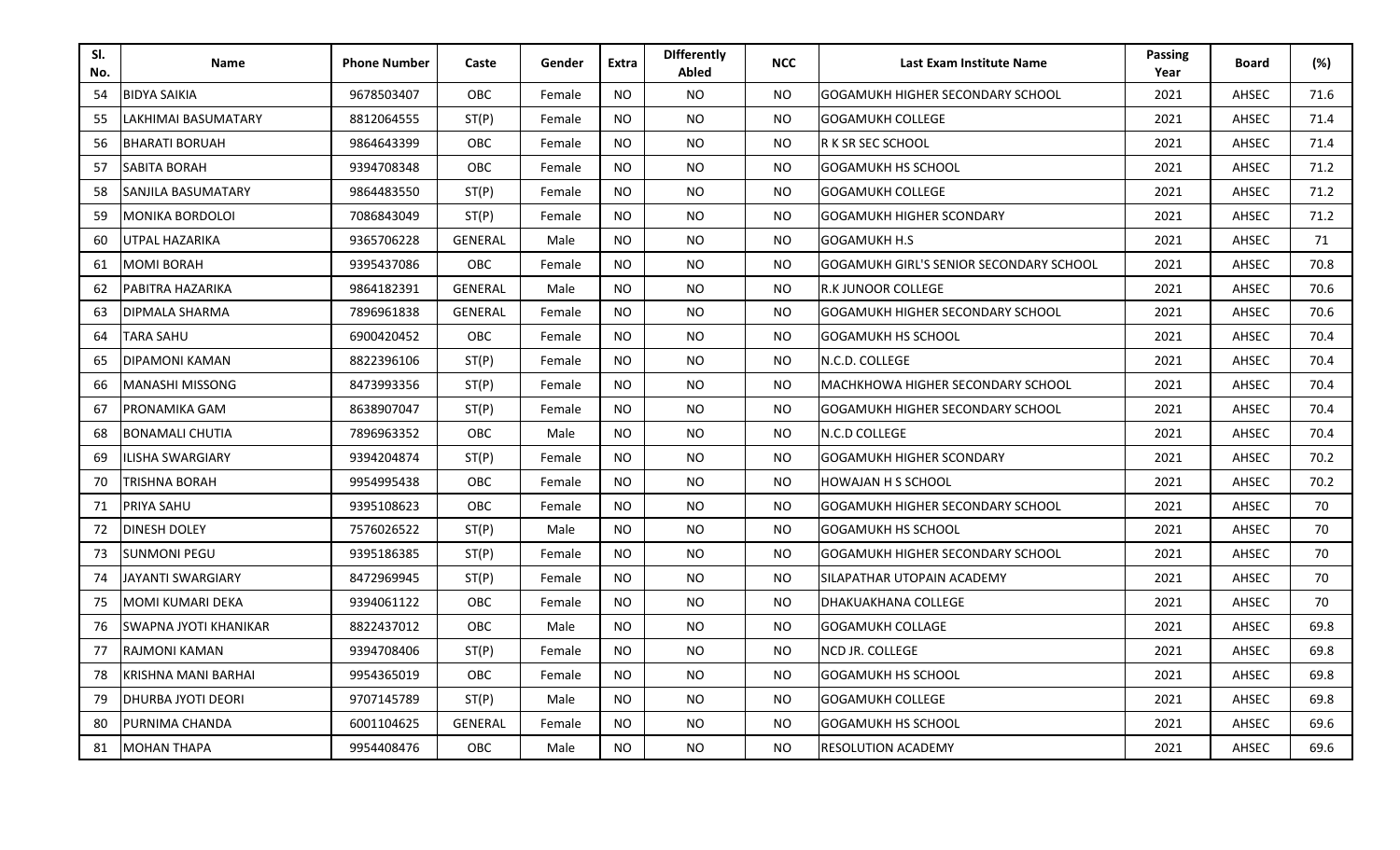| SI.<br>No. | <b>Name</b>               | <b>Phone Number</b> | Caste          | Gender | Extra     | <b>Differently</b><br>Abled | <b>NCC</b> | Last Exam Institute Name                | <b>Passing</b><br>Year | <b>Board</b> | (%)  |
|------------|---------------------------|---------------------|----------------|--------|-----------|-----------------------------|------------|-----------------------------------------|------------------------|--------------|------|
| 54         | <b>BIDYA SAIKIA</b>       | 9678503407          | <b>OBC</b>     | Female | <b>NO</b> | NO.                         | NO.        | GOGAMUKH HIGHER SECONDARY SCHOOL        | 2021                   | AHSEC        | 71.6 |
| 55         | LAKHIMAI BASUMATARY       | 8812064555          | ST(P)          | Female | <b>NO</b> | <b>NO</b>                   | <b>NO</b>  | GOGAMUKH COLLEGE                        | 2021                   | AHSEC        | 71.4 |
| 56         | <b>BHARATI BORUAH</b>     | 9864643399          | OBC            | Female | <b>NO</b> | <b>NO</b>                   | <b>NO</b>  | R K SR SEC SCHOOL                       | 2021                   | AHSEC        | 71.4 |
| 57         | SABITA BORAH              | 9394708348          | OBC            | Female | <b>NO</b> | NO.                         | NO.        | GOGAMUKH HS SCHOOL                      | 2021                   | AHSEC        | 71.2 |
| 58         | SANJILA BASUMATARY        | 9864483550          | ST(P)          | Female | <b>NO</b> | <b>NO</b>                   | <b>NO</b>  | GOGAMUKH COLLEGE                        | 2021                   | AHSEC        | 71.2 |
| 59         | MONIKA BORDOLOI           | 7086843049          | ST(P)          | Female | <b>NO</b> | NO.                         | NO.        | GOGAMUKH HIGHER SCONDARY                | 2021                   | AHSEC        | 71.2 |
| 60         | UTPAL HAZARIKA            | 9365706228          | <b>GENERAL</b> | Male   | <b>NO</b> | <b>NO</b>                   | <b>NO</b>  | <b>GOGAMUKH H.S</b>                     | 2021                   | AHSEC        | 71   |
| 61         | MOMI BORAH                | 9395437086          | OBC            | Female | <b>NO</b> | <b>NO</b>                   | <b>NO</b>  | GOGAMUKH GIRL'S SENIOR SECONDARY SCHOOL | 2021                   | AHSEC        | 70.8 |
| 62         | PABITRA HAZARIKA          | 9864182391          | <b>GENERAL</b> | Male   | <b>NO</b> | <b>NO</b>                   | <b>NO</b>  | <b>R.K JUNOOR COLLEGE</b>               | 2021                   | AHSEC        | 70.6 |
| -63        | DIPMALA SHARMA            | 7896961838          | <b>GENERAL</b> | Female | <b>NO</b> | NO.                         | <b>NO</b>  | <b>GOGAMUKH HIGHER SECONDARY SCHOOL</b> | 2021                   | AHSEC        | 70.6 |
| 64         | TARA SAHU                 | 6900420452          | OBC            | Female | NO.       | <b>NO</b>                   | <b>NO</b>  | <b>GOGAMUKH HS SCHOOL</b>               | 2021                   | AHSEC        | 70.4 |
| 65         | DIPAMONI KAMAN            | 8822396106          | ST(P)          | Female | NO.       | <b>NO</b>                   | NO.        | N.C.D. COLLEGE                          | 2021                   | AHSEC        | 70.4 |
| 66         | <b>MANASHI MISSONG</b>    | 8473993356          | ST(P)          | Female | NO.       | NO.                         | NO.        | MACHKHOWA HIGHER SECONDARY SCHOOL       | 2021                   | AHSEC        | 70.4 |
| -67        | PRONAMIKA GAM             | 8638907047          | ST(P)          | Female | NO.       | <b>NO</b>                   | <b>NO</b>  | GOGAMUKH HIGHER SECONDARY SCHOOL        | 2021                   | AHSEC        | 70.4 |
| 68         | <b>BONAMALI CHUTIA</b>    | 7896963352          | <b>OBC</b>     | Male   | NO.       | <b>NO</b>                   | <b>NO</b>  | IN.C.D COLLEGE                          | 2021                   | AHSEC        | 70.4 |
| 69         | ILISHA SWARGIARY          | 9394204874          | ST(P)          | Female | NO.       | <b>NO</b>                   | <b>NO</b>  | <b>GOGAMUKH HIGHER SCONDARY</b>         | 2021                   | AHSEC        | 70.2 |
| 70         | TRISHNA BORAH             | 9954995438          | OBC            | Female | NO.       | <b>NO</b>                   | <b>NO</b>  | <b>HOWAJAN H S SCHOOL</b>               | 2021                   | AHSEC        | 70.2 |
| 71         | PRIYA SAHU                | 9395108623          | OBC            | Female | NO.       | <b>NO</b>                   | <b>NO</b>  | GOGAMUKH HIGHER SECONDARY SCHOOL        | 2021                   | AHSEC        | 70   |
| 72         | DINESH DOLEY              | 7576026522          | ST(P)          | Male   | NO.       | <b>NO</b>                   | NO.        | <b>GOGAMUKH HS SCHOOL</b>               | 2021                   | AHSEC        | 70   |
| 73         | <b>SUNMONI PEGU</b>       | 9395186385          | ST(P)          | Female | NO.       | <b>NO</b>                   | NO.        | <b>GOGAMUKH HIGHER SECONDARY SCHOOL</b> | 2021                   | AHSEC        | 70   |
| 74         | JAYANTI SWARGIARY         | 8472969945          | ST(P)          | Female | <b>NO</b> | NO.                         | <b>NO</b>  | SILAPATHAR UTOPAIN ACADEMY              | 2021                   | AHSEC        | 70   |
| 75         | MOMI KUMARI DEKA          | 9394061122          | OBC            | Female | NO.       | <b>NO</b>                   | NO.        | DHAKUAKHANA COLLEGE                     | 2021                   | AHSEC        | 70   |
| 76         | SWAPNA JYOTI KHANIKAR     | 8822437012          | OBC            | Male   | NO.       | <b>NO</b>                   | <b>NO</b>  | <b>GOGAMUKH COLLAGE</b>                 | 2021                   | AHSEC        | 69.8 |
| 77         | RAJMONI KAMAN             | 9394708406          | ST(P)          | Female | <b>NO</b> | NO.                         | <b>NO</b>  | NCD JR. COLLEGE                         | 2021                   | AHSEC        | 69.8 |
| 78         | KRISHNA MANI BARHAI       | 9954365019          | <b>OBC</b>     | Female | <b>NO</b> | <b>NO</b>                   | <b>NO</b>  | <b>GOGAMUKH HS SCHOOL</b>               | 2021                   | AHSEC        | 69.8 |
| 79         | <b>DHURBA JYOTI DEORI</b> | 9707145789          | ST(P)          | Male   | NO.       | NO.                         | NO.        | <b>GOGAMUKH COLLEGE</b>                 | 2021                   | AHSEC        | 69.8 |
| 80         | PURNIMA CHANDA            | 6001104625          | <b>GENERAL</b> | Female | <b>NO</b> | NO.                         | NO.        | GOGAMUKH HS SCHOOL                      | 2021                   | AHSEC        | 69.6 |
| 81         | <b>MOHAN THAPA</b>        | 9954408476          | OBC            | Male   | NO.       | NO.                         | NO.        | <b>RESOLUTION ACADEMY</b>               | 2021                   | AHSEC        | 69.6 |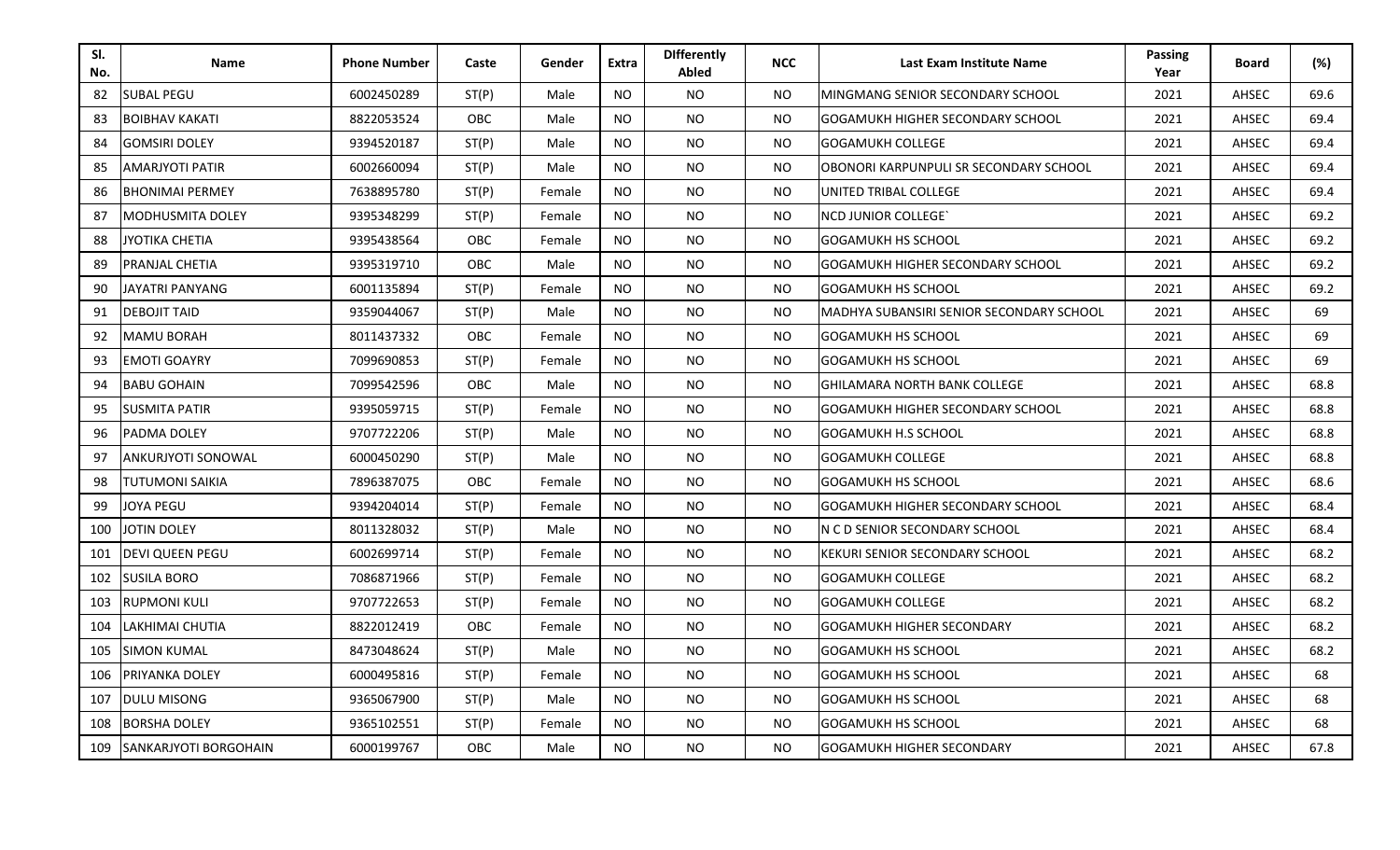| SI.<br>No. | Name                      | <b>Phone Number</b> | Caste      | Gender | <b>Extra</b> | <b>Differently</b><br>Abled | <b>NCC</b>     | Last Exam Institute Name                 | <b>Passing</b><br>Year | <b>Board</b> | (%)  |
|------------|---------------------------|---------------------|------------|--------|--------------|-----------------------------|----------------|------------------------------------------|------------------------|--------------|------|
| 82         | <b>SUBAL PEGU</b>         | 6002450289          | ST(P)      | Male   | <b>NO</b>    | <b>NO</b>                   | <b>NO</b>      | MINGMANG SENIOR SECONDARY SCHOOL         | 2021                   | AHSEC        | 69.6 |
| 83         | <b>BOIBHAV KAKATI</b>     | 8822053524          | <b>OBC</b> | Male   | <b>NO</b>    | <b>NO</b>                   | NO.            | GOGAMUKH HIGHER SECONDARY SCHOOL         | 2021                   | AHSEC        | 69.4 |
| 84         | <b>GOMSIRI DOLEY</b>      | 9394520187          | ST(P)      | Male   | <b>NO</b>    | NO.                         | NO.            | <b>GOGAMUKH COLLEGE</b>                  | 2021                   | AHSEC        | 69.4 |
| 85         | AMARJYOTI PATIR           | 6002660094          | ST(P)      | Male   | <b>NO</b>    | NO                          | <b>NO</b>      | OBONORI KARPUNPULI SR SECONDARY SCHOOL   | 2021                   | AHSEC        | 69.4 |
| 86         | <b>BHONIMAI PERMEY</b>    | 7638895780          | ST(P)      | Female | <b>NO</b>    | <b>NO</b>                   | <b>NO</b>      | UNITED TRIBAL COLLEGE                    | 2021                   | AHSEC        | 69.4 |
| 87         | MODHUSMITA DOLEY          | 9395348299          | ST(P)      | Female | <b>NO</b>    | <b>NO</b>                   | <b>NO</b>      | <b>NCD JUNIOR COLLEGE</b>                | 2021                   | AHSEC        | 69.2 |
| 88         | JYOTIKA CHETIA            | 9395438564          | OBC        | Female | <b>NO</b>    | <b>NO</b>                   | <b>NO</b>      | <b>GOGAMUKH HS SCHOOL</b>                | 2021                   | AHSEC        | 69.2 |
| 89         | PRANJAL CHETIA            | 9395319710          | OBC        | Male   | <b>NO</b>    | <b>NO</b>                   | <b>NO</b>      | <b>GOGAMUKH HIGHER SECONDARY SCHOOL</b>  | 2021                   | AHSEC        | 69.2 |
| 90         | JAYATRI PANYANG           | 6001135894          | ST(P)      | Female | NO.          | NO.                         | NO.            | <b>GOGAMUKH HS SCHOOL</b>                | 2021                   | AHSEC        | 69.2 |
| 91         | <b>DEBOJIT TAID</b>       | 9359044067          | ST(P)      | Male   | NO.          | <b>NO</b>                   | NO.            | MADHYA SUBANSIRI SENIOR SECONDARY SCHOOL | 2021                   | AHSEC        | 69   |
| 92         | MAMU BORAH                | 8011437332          | <b>OBC</b> | Female | <b>NO</b>    | NO.                         | <b>NO</b>      | <b>GOGAMUKH HS SCHOOL</b>                | 2021                   | AHSEC        | 69   |
| 93         | <b>EMOTI GOAYRY</b>       | 7099690853          | ST(P)      | Female | <b>NO</b>    | <b>NO</b>                   | <b>NO</b>      | <b>GOGAMUKH HS SCHOOL</b>                | 2021                   | AHSEC        | 69   |
| 94         | <b>BABU GOHAIN</b>        | 7099542596          | OBC        | Male   | <b>NO</b>    | <b>NO</b>                   | <b>NO</b>      | <b>GHILAMARA NORTH BANK COLLEGE</b>      | 2021                   | AHSEC        | 68.8 |
| 95         | SUSMITA PATIR             | 9395059715          | ST(P)      | Female | NO.          | NO.                         | NO.            | GOGAMUKH HIGHER SECONDARY SCHOOL         | 2021                   | AHSEC        | 68.8 |
| 96         | PADMA DOLEY               | 9707722206          | ST(P)      | Male   | NO.          | <b>NO</b>                   | NO.            | <b>GOGAMUKH H.S SCHOOL</b>               | 2021                   | AHSEC        | 68.8 |
| 97         | <b>ANKURJYOTI SONOWAL</b> | 6000450290          | ST(P)      | Male   | NO.          | <b>NO</b>                   | <b>NO</b>      | <b>GOGAMUKH COLLEGE</b>                  | 2021                   | AHSEC        | 68.8 |
| 98         | TUTUMONI SAIKIA           | 7896387075          | <b>OBC</b> | Female | NO.          | <b>NO</b>                   | N <sub>O</sub> | <b>GOGAMUKH HS SCHOOL</b>                | 2021                   | AHSEC        | 68.6 |
| 99         | JOYA PEGU                 | 9394204014          | ST(P)      | Female | NO.          | <b>NO</b>                   | NO.            | GOGAMUKH HIGHER SECONDARY SCHOOL         | 2021                   | AHSEC        | 68.4 |
| 100        | JOTIN DOLEY               | 8011328032          | ST(P)      | Male   | NO.          | <b>NO</b>                   | <b>NO</b>      | N C D SENIOR SECONDARY SCHOOL            | 2021                   | AHSEC        | 68.4 |
| 101        | DEVI QUEEN PEGU           | 6002699714          | ST(P)      | Female | NO.          | NO.                         | NO.            | KEKURI SENIOR SECONDARY SCHOOL           | 2021                   | AHSEC        | 68.2 |
| 102        | <b>SUSILA BORO</b>        | 7086871966          | ST(P)      | Female | NO.          | NO.                         | NO.            | <b>GOGAMUKH COLLEGE</b>                  | 2021                   | AHSEC        | 68.2 |
| 103        | <b>RUPMONI KULI</b>       | 9707722653          | ST(P)      | Female | NO.          | NO.                         | NO.            | <b>GOGAMUKH COLLEGE</b>                  | 2021                   | AHSEC        | 68.2 |
| 104        | LAKHIMAI CHUTIA           | 8822012419          | OBC        | Female | NO.          | <b>NO</b>                   | <b>NO</b>      | <b>GOGAMUKH HIGHER SECONDARY</b>         | 2021                   | AHSEC        | 68.2 |
| 105        | <b>SIMON KUMAL</b>        | 8473048624          | ST(P)      | Male   | <b>NO</b>    | <b>NO</b>                   | <b>NO</b>      | <b>GOGAMUKH HS SCHOOL</b>                | 2021                   | AHSEC        | 68.2 |
| 106        | PRIYANKA DOLEY            | 6000495816          | ST(P)      | Female | <b>NO</b>    | <b>NO</b>                   | <b>NO</b>      | <b>GOGAMUKH HS SCHOOL</b>                | 2021                   | AHSEC        | 68   |
| 107        | <b>DULU MISONG</b>        | 9365067900          | ST(P)      | Male   | NO.          | NO.                         | NO.            | GOGAMUKH HS SCHOOL                       | 2021                   | AHSEC        | 68   |
| 108        | <b>BORSHA DOLEY</b>       | 9365102551          | ST(P)      | Female | NO.          | NO.                         | NO.            | GOGAMUKH HS SCHOOL                       | 2021                   | AHSEC        | 68   |
| 109        | SANKARJYOTI BORGOHAIN     | 6000199767          | <b>OBC</b> | Male   | NO.          | NO.                         | NO.            | GOGAMUKH HIGHER SECONDARY                | 2021                   | AHSEC        | 67.8 |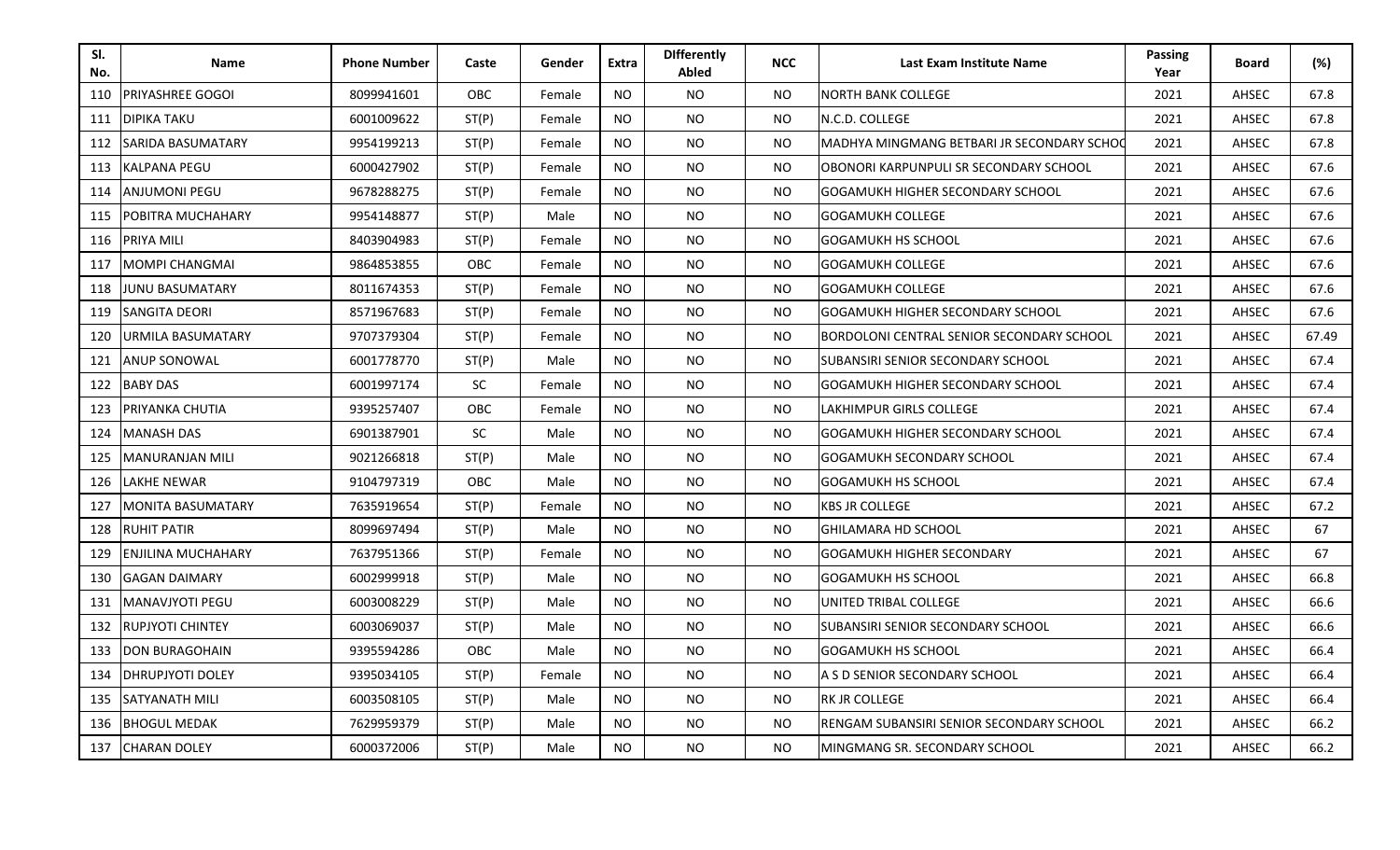| SI.<br>No. | <b>Name</b>         | <b>Phone Number</b> | Caste      | Gender | <b>Extra</b>   | <b>Differently</b><br>Abled | <b>NCC</b> | Last Exam Institute Name                   | <b>Passing</b><br>Year | <b>Board</b> | (%)   |
|------------|---------------------|---------------------|------------|--------|----------------|-----------------------------|------------|--------------------------------------------|------------------------|--------------|-------|
| 110        | PRIYASHREE GOGOI    | 8099941601          | OBC        | Female | <b>NO</b>      | <b>NO</b>                   | <b>NO</b>  | <b>NORTH BANK COLLEGE</b>                  | 2021                   | AHSEC        | 67.8  |
| 111        | <b>DIPIKA TAKU</b>  | 6001009622          | ST(P)      | Female | <b>NO</b>      | NO.                         | <b>NO</b>  | N.C.D. COLLEGE                             | 2021                   | AHSEC        | 67.8  |
| 112        | SARIDA BASUMATARY   | 9954199213          | ST(P)      | Female | <b>NO</b>      | <b>NO</b>                   | NO.        | MADHYA MINGMANG BETBARI JR SECONDARY SCHOO | 2021                   | AHSEC        | 67.8  |
| 113        | KALPANA PEGU        | 6000427902          | ST(P)      | Female | <b>NO</b>      | <b>NO</b>                   | <b>NO</b>  | OBONORI KARPUNPULI SR SECONDARY SCHOOL     | 2021                   | AHSEC        | 67.6  |
| 114        | ANJUMONI PEGU       | 9678288275          | ST(P)      | Female | <b>NO</b>      | NO.                         | <b>NO</b>  | <b>GOGAMUKH HIGHER SECONDARY SCHOOL</b>    | 2021                   | AHSEC        | 67.6  |
| 115        | POBITRA MUCHAHARY   | 9954148877          | ST(P)      | Male   | <b>NO</b>      | <b>NO</b>                   | <b>NO</b>  | <b>GOGAMUKH COLLEGE</b>                    | 2021                   | AHSEC        | 67.6  |
| 116        | PRIYA MILI          | 8403904983          | ST(P)      | Female | <b>NO</b>      | <b>NO</b>                   | <b>NO</b>  | <b>GOGAMUKH HS SCHOOL</b>                  | 2021                   | AHSEC        | 67.6  |
| 117        | MOMPI CHANGMAI      | 9864853855          | OBC        | Female | <b>NO</b>      | <b>NO</b>                   | <b>NO</b>  | <b>GOGAMUKH COLLEGE</b>                    | 2021                   | AHSEC        | 67.6  |
| 118        | JUNU BASUMATARY     | 8011674353          | ST(P)      | Female | NO.            | <b>NO</b>                   | <b>NO</b>  | <b>GOGAMUKH COLLEGE</b>                    | 2021                   | AHSEC        | 67.6  |
| 119        | SANGITA DEORI       | 8571967683          | ST(P)      | Female | NO.            | NO.                         | <b>NO</b>  | <b>GOGAMUKH HIGHER SECONDARY SCHOOL</b>    | 2021                   | AHSEC        | 67.6  |
| 120        | URMILA BASUMATARY   | 9707379304          | ST(P)      | Female | NO.            | <b>NO</b>                   | <b>NO</b>  | BORDOLONI CENTRAL SENIOR SECONDARY SCHOOL  | 2021                   | AHSEC        | 67.49 |
| 121        | ANUP SONOWAL        | 6001778770          | ST(P)      | Male   | <b>NO</b>      | <b>NO</b>                   | <b>NO</b>  | SUBANSIRI SENIOR SECONDARY SCHOOL          | 2021                   | AHSEC        | 67.4  |
| 122        | <b>BABY DAS</b>     | 6001997174          | <b>SC</b>  | Female | <b>NO</b>      | <b>NO</b>                   | <b>NO</b>  | <b>GOGAMUKH HIGHER SECONDARY SCHOOL</b>    | 2021                   | AHSEC        | 67.4  |
| 123        | PRIYANKA CHUTIA     | 9395257407          | <b>OBC</b> | Female | NO.            | <b>NO</b>                   | <b>NO</b>  | LAKHIMPUR GIRLS COLLEGE                    | 2021                   | AHSEC        | 67.4  |
| 124        | <b>MANASH DAS</b>   | 6901387901          | <b>SC</b>  | Male   | <b>NO</b>      | <b>NO</b>                   | <b>NO</b>  | <b>GOGAMUKH HIGHER SECONDARY SCHOOL</b>    | 2021                   | AHSEC        | 67.4  |
| 125        | MANURANJAN MILI     | 9021266818          | ST(P)      | Male   | NO.            | <b>NO</b>                   | <b>NO</b>  | <b>GOGAMUKH SECONDARY SCHOOL</b>           | 2021                   | AHSEC        | 67.4  |
| 126        | LAKHE NEWAR         | 9104797319          | <b>OBC</b> | Male   | NO.            | <b>NO</b>                   | <b>NO</b>  | <b>GOGAMUKH HS SCHOOL</b>                  | 2021                   | AHSEC        | 67.4  |
| 127        | MONITA BASUMATARY   | 7635919654          | ST(P)      | Female | NO.            | <b>NO</b>                   | <b>NO</b>  | <b>KBS JR COLLEGE</b>                      | 2021                   | AHSEC        | 67.2  |
| 128        | <b>RUHIT PATIR</b>  | 8099697494          | ST(P)      | Male   | <b>NO</b>      | <b>NO</b>                   | <b>NO</b>  | <b>GHILAMARA HD SCHOOL</b>                 | 2021                   | AHSEC        | 67    |
| 129        | ENJILINA MUCHAHARY  | 7637951366          | ST(P)      | Female | <b>NO</b>      | NO.                         | <b>NO</b>  | <b>GOGAMUKH HIGHER SECONDARY</b>           | 2021                   | AHSEC        | 67    |
| 130        | GAGAN DAIMARY       | 6002999918          | ST(P)      | Male   | <b>NO</b>      | NO.                         | <b>NO</b>  | <b>GOGAMUKH HS SCHOOL</b>                  | 2021                   | AHSEC        | 66.8  |
| 131        | MANAVJYOTI PEGU     | 6003008229          | ST(P)      | Male   | <b>NO</b>      | NO.                         | <b>NO</b>  | UNITED TRIBAL COLLEGE                      | 2021                   | AHSEC        | 66.6  |
| 132        | RUPJYOTI CHINTEY    | 6003069037          | ST(P)      | Male   | <b>NO</b>      | <b>NO</b>                   | <b>NO</b>  | SUBANSIRI SENIOR SECONDARY SCHOOL          | 2021                   | AHSEC        | 66.6  |
| 133        | DON BURAGOHAIN      | 9395594286          | OBC        | Male   | <b>NO</b>      | NO.                         | <b>NO</b>  | <b>GOGAMUKH HS SCHOOL</b>                  | 2021                   | AHSEC        | 66.4  |
| 134        | DHRUPJYOTI DOLEY    | 9395034105          | ST(P)      | Female | <b>NO</b>      | <b>NO</b>                   | <b>NO</b>  | A S D SENIOR SECONDARY SCHOOL              | 2021                   | AHSEC        | 66.4  |
| 135        | SATYANATH MILI      | 6003508105          | ST(P)      | Male   | NO.            | NO.                         | <b>NO</b>  | <b>RK JR COLLEGE</b>                       | 2021                   | AHSEC        | 66.4  |
| 136        | <b>BHOGUL MEDAK</b> | 7629959379          | ST(P)      | Male   | NO.            | <b>NO</b>                   | <b>NO</b>  | RENGAM SUBANSIRI SENIOR SECONDARY SCHOOL   | 2021                   | AHSEC        | 66.2  |
| 137        | <b>CHARAN DOLEY</b> | 6000372006          | ST(P)      | Male   | N <sub>O</sub> | <b>NO</b>                   | <b>NO</b>  | MINGMANG SR. SECONDARY SCHOOL              | 2021                   | AHSEC        | 66.2  |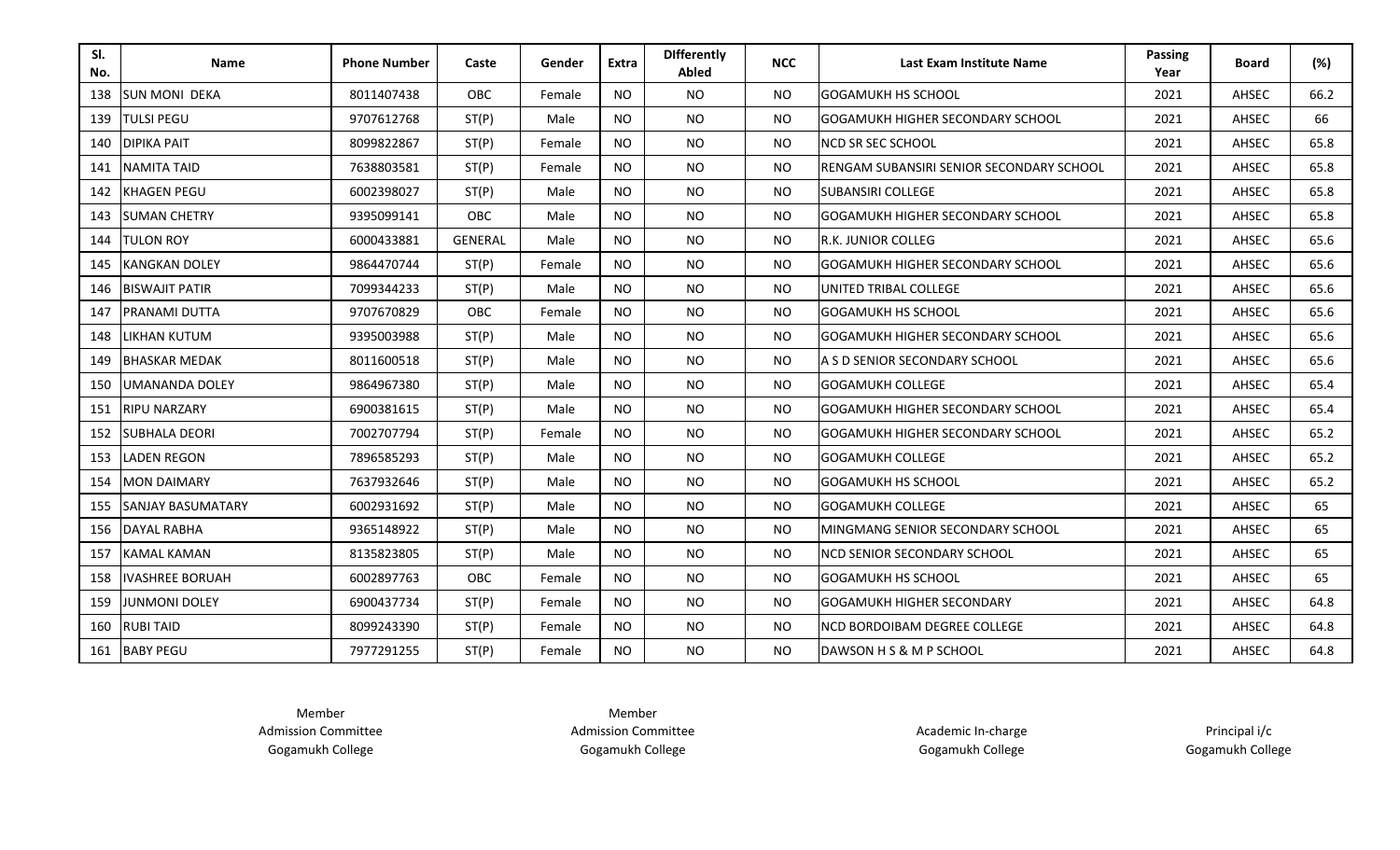| SI.<br>No. | <b>Name</b>              | <b>Phone Number</b> | Caste          | Gender | <b>Extra</b> | <b>Differently</b><br>Abled | <b>NCC</b> | Last Exam Institute Name                  | <b>Passing</b><br>Year | <b>Board</b> | (%)  |
|------------|--------------------------|---------------------|----------------|--------|--------------|-----------------------------|------------|-------------------------------------------|------------------------|--------------|------|
| 138        | <b>SUN MONI DEKA</b>     | 8011407438          | OBC            | Female | <b>NO</b>    | <b>NO</b>                   | <b>NO</b>  | <b>GOGAMUKH HS SCHOOL</b>                 | 2021                   | AHSEC        | 66.2 |
| 139        | <b>TULSI PEGU</b>        | 9707612768          | ST(P)          | Male   | <b>NO</b>    | <b>NO</b>                   | <b>NO</b>  | <b>GOGAMUKH HIGHER SECONDARY SCHOOL</b>   | 2021                   | AHSEC        | 66   |
| 140        | <b>DIPIKA PAIT</b>       | 8099822867          | ST(P)          | Female | <b>NO</b>    | <b>NO</b>                   | <b>NO</b>  | <b>NCD SR SEC SCHOOL</b>                  | 2021                   | AHSEC        | 65.8 |
| 141        | <b>NAMITA TAID</b>       | 7638803581          | ST(P)          | Female | <b>NO</b>    | <b>NO</b>                   | <b>NO</b>  | IRENGAM SUBANSIRI SENIOR SECONDARY SCHOOL | 2021                   | AHSEC        | 65.8 |
| 142        | <b>KHAGEN PEGU</b>       | 6002398027          | ST(P)          | Male   | <b>NO</b>    | <b>NO</b>                   | <b>NO</b>  | <b>SUBANSIRI COLLEGE</b>                  | 2021                   | AHSEC        | 65.8 |
| 143        | <b>SUMAN CHETRY</b>      | 9395099141          | OBC            | Male   | <b>NO</b>    | <b>NO</b>                   | <b>NO</b>  | <b>GOGAMUKH HIGHER SECONDARY SCHOOL</b>   | 2021                   | AHSEC        | 65.8 |
| 144        | <b>TULON ROY</b>         | 6000433881          | <b>GENERAL</b> | Male   | <b>NO</b>    | <b>NO</b>                   | <b>NO</b>  | <b>R.K. JUNIOR COLLEG</b>                 | 2021                   | AHSEC        | 65.6 |
| 145        | <b>KANGKAN DOLEY</b>     | 9864470744          | ST(P)          | Female | <b>NO</b>    | <b>NO</b>                   | <b>NO</b>  | <b>GOGAMUKH HIGHER SECONDARY SCHOOL</b>   | 2021                   | AHSEC        | 65.6 |
| 146        | <b>BISWAJIT PATIR</b>    | 7099344233          | ST(P)          | Male   | <b>NO</b>    | <b>NO</b>                   | <b>NO</b>  | UNITED TRIBAL COLLEGE                     | 2021                   | AHSEC        | 65.6 |
| 147        | <b>PRANAMI DUTTA</b>     | 9707670829          | OBC            | Female | <b>NO</b>    | <b>NO</b>                   | <b>NO</b>  | <b>GOGAMUKH HS SCHOOL</b>                 | 2021                   | AHSEC        | 65.6 |
| 148        | <b>LIKHAN KUTUM</b>      | 9395003988          | ST(P)          | Male   | <b>NO</b>    | <b>NO</b>                   | <b>NO</b>  | <b>GOGAMUKH HIGHER SECONDARY SCHOOL</b>   | 2021                   | AHSEC        | 65.6 |
| 149        | <b>BHASKAR MEDAK</b>     | 8011600518          | ST(P)          | Male   | <b>NO</b>    | <b>NO</b>                   | <b>NO</b>  | LA S D SENIOR SECONDARY SCHOOL            | 2021                   | AHSEC        | 65.6 |
| 150        | <b>UMANANDA DOLEY</b>    | 9864967380          | ST(P)          | Male   | <b>NO</b>    | <b>NO</b>                   | <b>NO</b>  | <b>GOGAMUKH COLLEGE</b>                   | 2021                   | AHSEC        | 65.4 |
| 151        | <b>RIPU NARZARY</b>      | 6900381615          | ST(P)          | Male   | <b>NO</b>    | <b>NO</b>                   | <b>NO</b>  | IGOGAMUKH HIGHER SECONDARY SCHOOL         | 2021                   | AHSEC        | 65.4 |
| 152        | <b>SUBHALA DEORI</b>     | 7002707794          | ST(P)          | Female | <b>NO</b>    | <b>NO</b>                   | <b>NO</b>  | IGOGAMUKH HIGHER SECONDARY SCHOOL         | 2021                   | AHSEC        | 65.2 |
| 153        | <b>LADEN REGON</b>       | 7896585293          | ST(P)          | Male   | <b>NO</b>    | <b>NO</b>                   | <b>NO</b>  | <b>GOGAMUKH COLLEGE</b>                   | 2021                   | AHSEC        | 65.2 |
| 154        | <b>MON DAIMARY</b>       | 7637932646          | ST(P)          | Male   | <b>NO</b>    | <b>NO</b>                   | <b>NO</b>  | <b>GOGAMUKH HS SCHOOL</b>                 | 2021                   | AHSEC        | 65.2 |
| 155        | <b>SANJAY BASUMATARY</b> | 6002931692          | ST(P)          | Male   | <b>NO</b>    | <b>NO</b>                   | <b>NO</b>  | <b>GOGAMUKH COLLEGE</b>                   | 2021                   | AHSEC        | 65   |
| 156        | DAYAL RABHA              | 9365148922          | ST(P)          | Male   | <b>NO</b>    | <b>NO</b>                   | <b>NO</b>  | IMINGMANG SENIOR SECONDARY SCHOOL         | 2021                   | AHSEC        | 65   |
| 157        | <b>KAMAL KAMAN</b>       | 8135823805          | ST(P)          | Male   | <b>NO</b>    | <b>NO</b>                   | <b>NO</b>  | <b>NCD SENIOR SECONDARY SCHOOL</b>        | 2021                   | AHSEC        | 65   |
| 158        | <b>IVASHREE BORUAH</b>   | 6002897763          | OBC            | Female | <b>NO</b>    | <b>NO</b>                   | <b>NO</b>  | <b>IGOGAMUKH HS SCHOOL</b>                | 2021                   | AHSEC        | 65   |
| 159        | <b>JUNMONI DOLEY</b>     | 6900437734          | ST(P)          | Female | <b>NO</b>    | <b>NO</b>                   | <b>NO</b>  | <b>GOGAMUKH HIGHER SECONDARY</b>          | 2021                   | AHSEC        | 64.8 |
| 160        | <b>RUBI TAID</b>         | 8099243390          | ST(P)          | Female | <b>NO</b>    | NO.                         | <b>NO</b>  | INCD BORDOIBAM DEGREE COLLEGE             | 2021                   | AHSEC        | 64.8 |
|            | 161 BABY PEGU            | 7977291255          | ST(P)          | Female | <b>NO</b>    | <b>NO</b>                   | <b>NO</b>  | DAWSON H S & M P SCHOOL                   | 2021                   | AHSEC        | 64.8 |

Member Admission Committee Gogamukh College

Member Admission Committee Gogamukh College

Academic In-charge Gogamukh College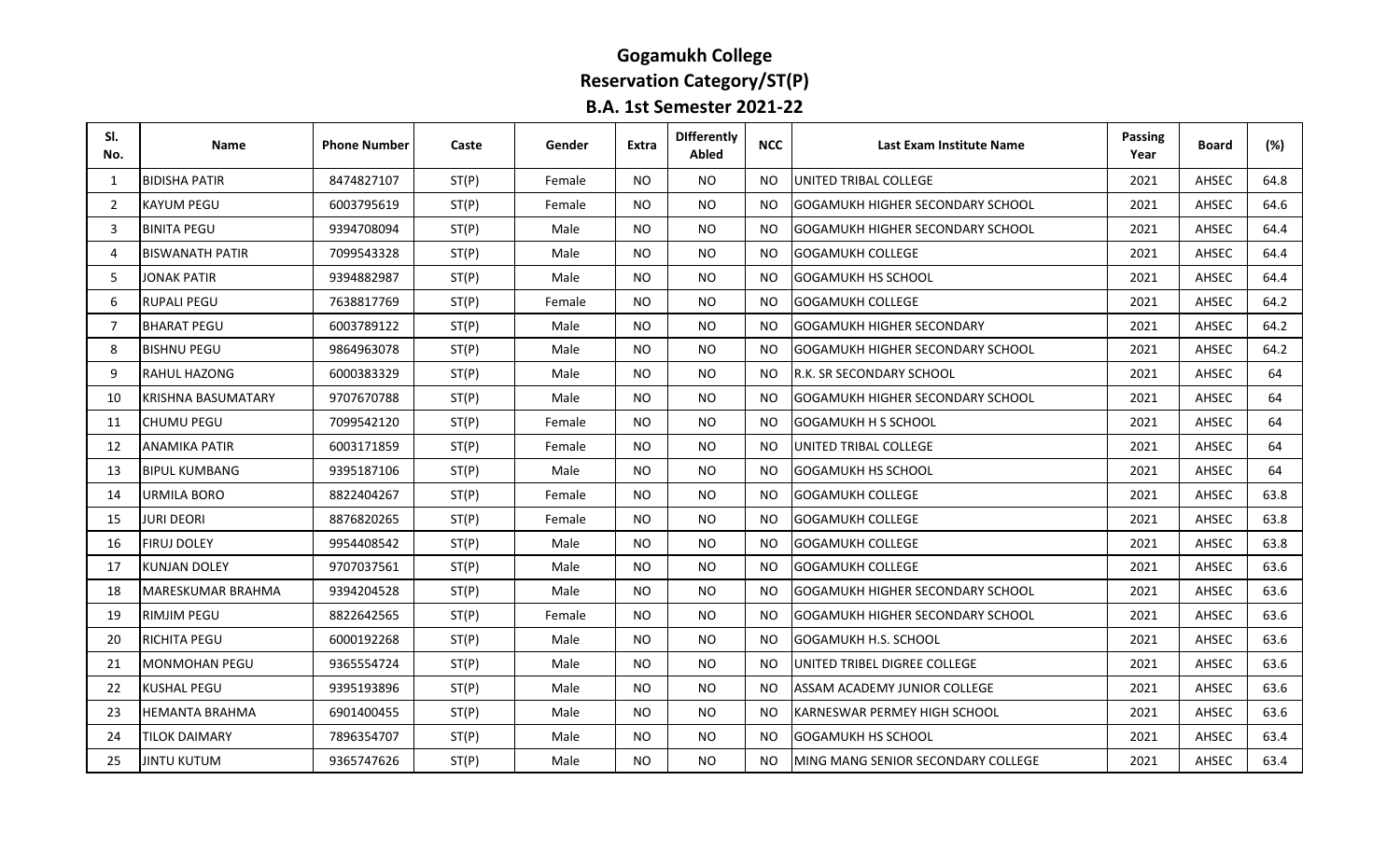# **Gogamukh College Reservation Category/ST(P)**

| <b>B.A. 1st Semester 2021-22</b> |  |  |
|----------------------------------|--|--|
|----------------------------------|--|--|

| SI.<br>No. | Name                      | <b>Phone Number</b> | Caste | Gender | Extra     | <b>Differently</b><br>Abled | <b>NCC</b> | Last Exam Institute Name                | Passing<br>Year | <b>Board</b> | (%)  |
|------------|---------------------------|---------------------|-------|--------|-----------|-----------------------------|------------|-----------------------------------------|-----------------|--------------|------|
| 1          | <b>BIDISHA PATIR</b>      | 8474827107          | ST(P) | Female | NO.       | NO.                         | NO.        | <b>IUNITED TRIBAL COLLEGE</b>           | 2021            | AHSEC        | 64.8 |
| 2          | <b>KAYUM PEGU</b>         | 6003795619          | ST(P) | Female | NO.       | <b>NO</b>                   | NO.        | GOGAMUKH HIGHER SECONDARY SCHOOL        | 2021            | AHSEC        | 64.6 |
| 3          | <b>BINITA PEGU</b>        | 9394708094          | ST(P) | Male   | NO.       | NO.                         | NO.        | GOGAMUKH HIGHER SECONDARY SCHOOL        | 2021            | AHSEC        | 64.4 |
| 4          | <b>BISWANATH PATIR</b>    | 7099543328          | ST(P) | Male   | <b>NO</b> | <b>NO</b>                   | <b>NO</b>  | <b>GOGAMUKH COLLEGE</b>                 | 2021            | AHSEC        | 64.4 |
| 5          | <b>JONAK PATIR</b>        | 9394882987          | ST(P) | Male   | NO.       | <b>NO</b>                   | NO.        | <b>GOGAMUKH HS SCHOOL</b>               | 2021            | AHSEC        | 64.4 |
| 6          | <b>RUPALI PEGU</b>        | 7638817769          | ST(P) | Female | NO.       | <b>NO</b>                   | <b>NO</b>  | <b>GOGAMUKH COLLEGE</b>                 | 2021            | AHSEC        | 64.2 |
| 7          | <b>BHARAT PEGU</b>        | 6003789122          | ST(P) | Male   | <b>NO</b> | <b>NO</b>                   | NO.        | GOGAMUKH HIGHER SECONDARY               | 2021            | AHSEC        | 64.2 |
| 8          | <b>BISHNU PEGU</b>        | 9864963078          | ST(P) | Male   | NO.       | <b>NO</b>                   | NO.        | GOGAMUKH HIGHER SECONDARY SCHOOL        | 2021            | AHSEC        | 64.2 |
| 9          | <b>RAHUL HAZONG</b>       | 6000383329          | ST(P) | Male   | NO.       | NO.                         | NO.        | IR.K. SR SECONDARY SCHOOL               | 2021            | AHSEC        | 64   |
| 10         | <b>KRISHNA BASUMATARY</b> | 9707670788          | ST(P) | Male   | NO.       | NO.                         | NO.        | GOGAMUKH HIGHER SECONDARY SCHOOL        | 2021            | AHSEC        | 64   |
| 11         | <b>CHUMU PEGU</b>         | 7099542120          | ST(P) | Female | <b>NO</b> | <b>NO</b>                   | NO.        | <b>GOGAMUKH H S SCHOOL</b>              | 2021            | AHSEC        | 64   |
| 12         | ANAMIKA PATIR             | 6003171859          | ST(P) | Female | NO.       | NO.                         | NO.        | <b>UNITED TRIBAL COLLEGE</b>            | 2021            | AHSEC        | 64   |
| 13         | <b>BIPUL KUMBANG</b>      | 9395187106          | ST(P) | Male   | <b>NO</b> | <b>NO</b>                   | <b>NO</b>  | <b>GOGAMUKH HS SCHOOL</b>               | 2021            | AHSEC        | 64   |
| 14         | <b>URMILA BORO</b>        | 8822404267          | ST(P) | Female | <b>NO</b> | NO.                         | NO.        | IGOGAMUKH COLLEGE                       | 2021            | AHSEC        | 63.8 |
| 15         | JURI DEORI                | 8876820265          | ST(P) | Female | NO.       | <b>NO</b>                   | NO.        | <b>GOGAMUKH COLLEGE</b>                 | 2021            | AHSEC        | 63.8 |
| 16         | <b>FIRUJ DOLEY</b>        | 9954408542          | ST(P) | Male   | NO.       | <b>NO</b>                   | <b>NO</b>  | <b>GOGAMUKH COLLEGE</b>                 | 2021            | AHSEC        | 63.8 |
| 17         | KUNJAN DOLEY              | 9707037561          | ST(P) | Male   | NO.       | NO.                         | NO.        | IGOGAMUKH COLLEGE                       | 2021            | AHSEC        | 63.6 |
| 18         | <b>MARESKUMAR BRAHMA</b>  | 9394204528          | ST(P) | Male   | NO.       | NO.                         | NO.        | <b>GOGAMUKH HIGHER SECONDARY SCHOOL</b> | 2021            | AHSEC        | 63.6 |
| 19         | <b>RIMJIM PEGU</b>        | 8822642565          | ST(P) | Female | <b>NO</b> | <b>NO</b>                   | NO.        | GOGAMUKH HIGHER SECONDARY SCHOOL        | 2021            | AHSEC        | 63.6 |
| 20         | <b>RICHITA PEGU</b>       | 6000192268          | ST(P) | Male   | <b>NO</b> | <b>NO</b>                   | <b>NO</b>  | <b>GOGAMUKH H.S. SCHOOL</b>             | 2021            | AHSEC        | 63.6 |
| 21         | <b>MONMOHAN PEGU</b>      | 9365554724          | ST(P) | Male   | NO.       | NO.                         | NO.        | IUNITED TRIBEL DIGREE COLLEGE           | 2021            | AHSEC        | 63.6 |
| 22         | <b>KUSHAL PEGU</b>        | 9395193896          | ST(P) | Male   | <b>NO</b> | <b>NO</b>                   | NO.        | ASSAM ACADEMY JUNIOR COLLEGE            | 2021            | AHSEC        | 63.6 |
| 23         | HEMANTA BRAHMA            | 6901400455          | ST(P) | Male   | NO.       | NO.                         | NO.        | IKARNESWAR PERMEY HIGH SCHOOL           | 2021            | AHSEC        | 63.6 |
| 24         | TILOK DAIMARY             | 7896354707          | ST(P) | Male   | <b>NO</b> | <b>NO</b>                   | NO.        | <b>GOGAMUKH HS SCHOOL</b>               | 2021            | AHSEC        | 63.4 |
| 25         | <b>JINTU KUTUM</b>        | 9365747626          | ST(P) | Male   | <b>NO</b> | <b>NO</b>                   | NO.        | MING MANG SENIOR SECONDARY COLLEGE      | 2021            | AHSEC        | 63.4 |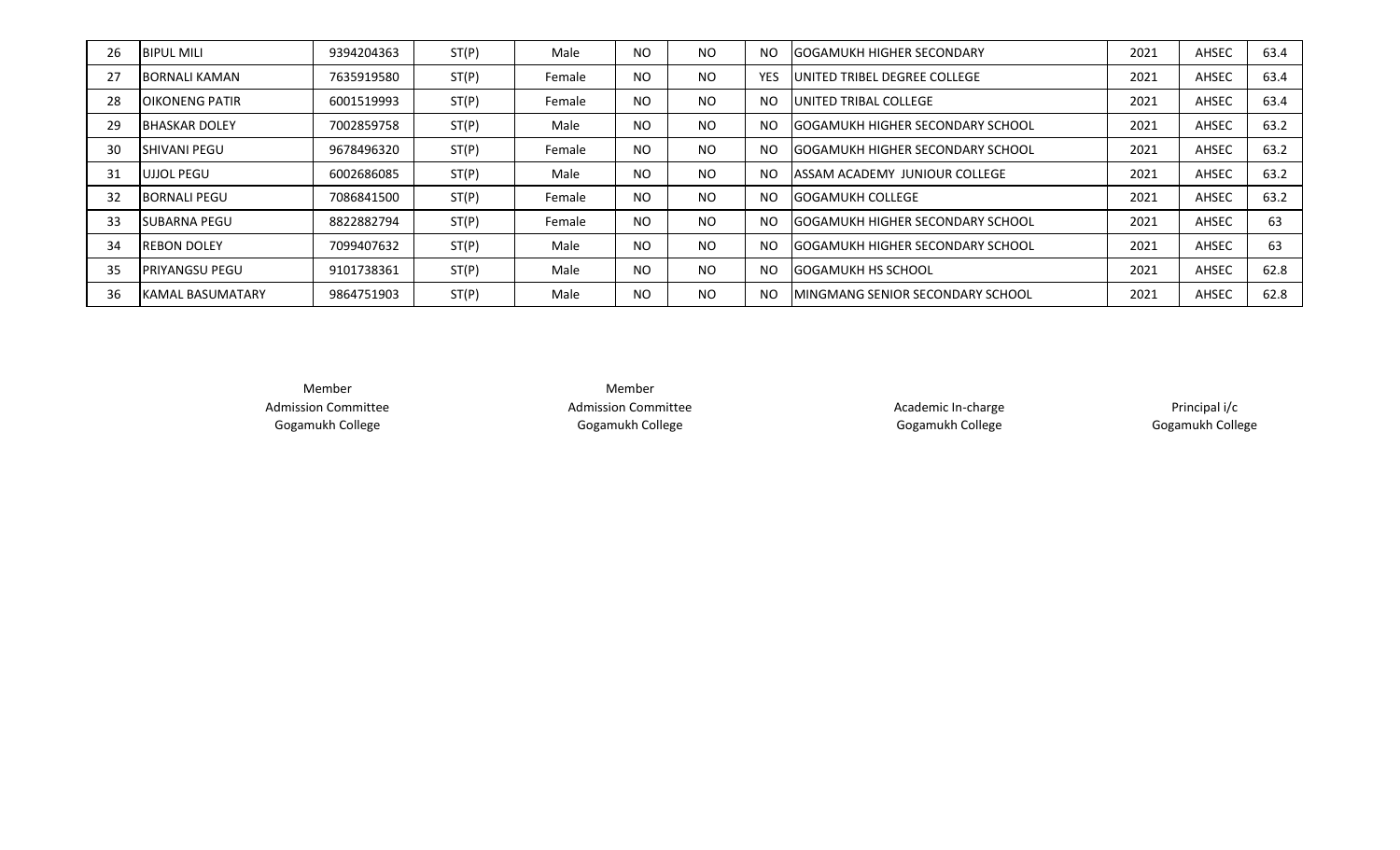| 26 | <b>BIPUL MILI</b>        | 9394204363 | ST(P) | Male   | <b>NO</b> | <b>NO</b> | <b>NO</b>  | <b>IGOGAMUKH HIGHER SECONDARY</b>        | 2021 | AHSEC | 63.4 |
|----|--------------------------|------------|-------|--------|-----------|-----------|------------|------------------------------------------|------|-------|------|
| 27 | IBORNALI KAMAN           | 7635919580 | ST(P) | Female | <b>NO</b> | <b>NO</b> | <b>YES</b> | <b>JUNITED TRIBEL DEGREE COLLEGE</b>     | 2021 | AHSEC | 63.4 |
| 28 | <b>JOIKONENG PATIR</b>   | 6001519993 | ST(P) | Female | <b>NO</b> | <b>NO</b> | <b>NO</b>  | <b>JUNITED TRIBAL COLLEGE</b>            | 2021 | AHSEC | 63.4 |
| 29 | <b>BHASKAR DOLEY</b>     | 7002859758 | ST(P) | Male   | <b>NO</b> | <b>NO</b> | <b>NO</b>  | <b>IGOGAMUKH HIGHER SECONDARY SCHOOL</b> | 2021 | AHSEC | 63.2 |
| 30 | <b>ISHIVANI PEGU</b>     | 9678496320 | ST(P) | Female | <b>NO</b> | <b>NO</b> | <b>NO</b>  | <b>IGOGAMUKH HIGHER SECONDARY SCHOOL</b> | 2021 | AHSEC | 63.2 |
| 31 | <b>UJJOL PEGU</b>        | 6002686085 | ST(P) | Male   | <b>NO</b> | <b>NO</b> | <b>NO</b>  | <b>ASSAM ACADEMY JUNIOUR COLLEGE</b>     | 2021 | AHSEC | 63.2 |
| 32 | <b>BORNALI PEGU</b>      | 7086841500 | ST(P) | Female | <b>NO</b> | <b>NO</b> | <b>NO</b>  | <b>IGOGAMUKH COLLEGE</b>                 | 2021 | AHSEC | 63.2 |
| 33 | ISUBARNA PEGU            | 8822882794 | ST(P) | Female | <b>NO</b> | <b>NO</b> | <b>NO</b>  | <b>IGOGAMUKH HIGHER SECONDARY SCHOOL</b> | 2021 | AHSEC | 63   |
| 34 | <b>REBON DOLEY</b>       | 7099407632 | ST(P) | Male   | <b>NO</b> | <b>NO</b> | <b>NO</b>  | <b>IGOGAMUKH HIGHER SECONDARY SCHOOL</b> | 2021 | AHSEC | 63   |
| 35 | <b>IPRIYANGSU PEGU</b>   | 9101738361 | ST(P) | Male   | <b>NO</b> | <b>NO</b> | <b>NO</b>  | <b>IGOGAMUKH HS SCHOOL</b>               | 2021 | AHSEC | 62.8 |
| 36 | <b>IKAMAL BASUMATARY</b> | 9864751903 | ST(P) | Male   | <b>NO</b> | <b>NO</b> | <b>NO</b>  | IMINGMANG SENIOR SECONDARY SCHOOL        | 2021 | AHSEC | 62.8 |

Member Admission Committee Gogamukh College

Member Admission Committee Gogamukh College

Academic In-charge Gogamukh College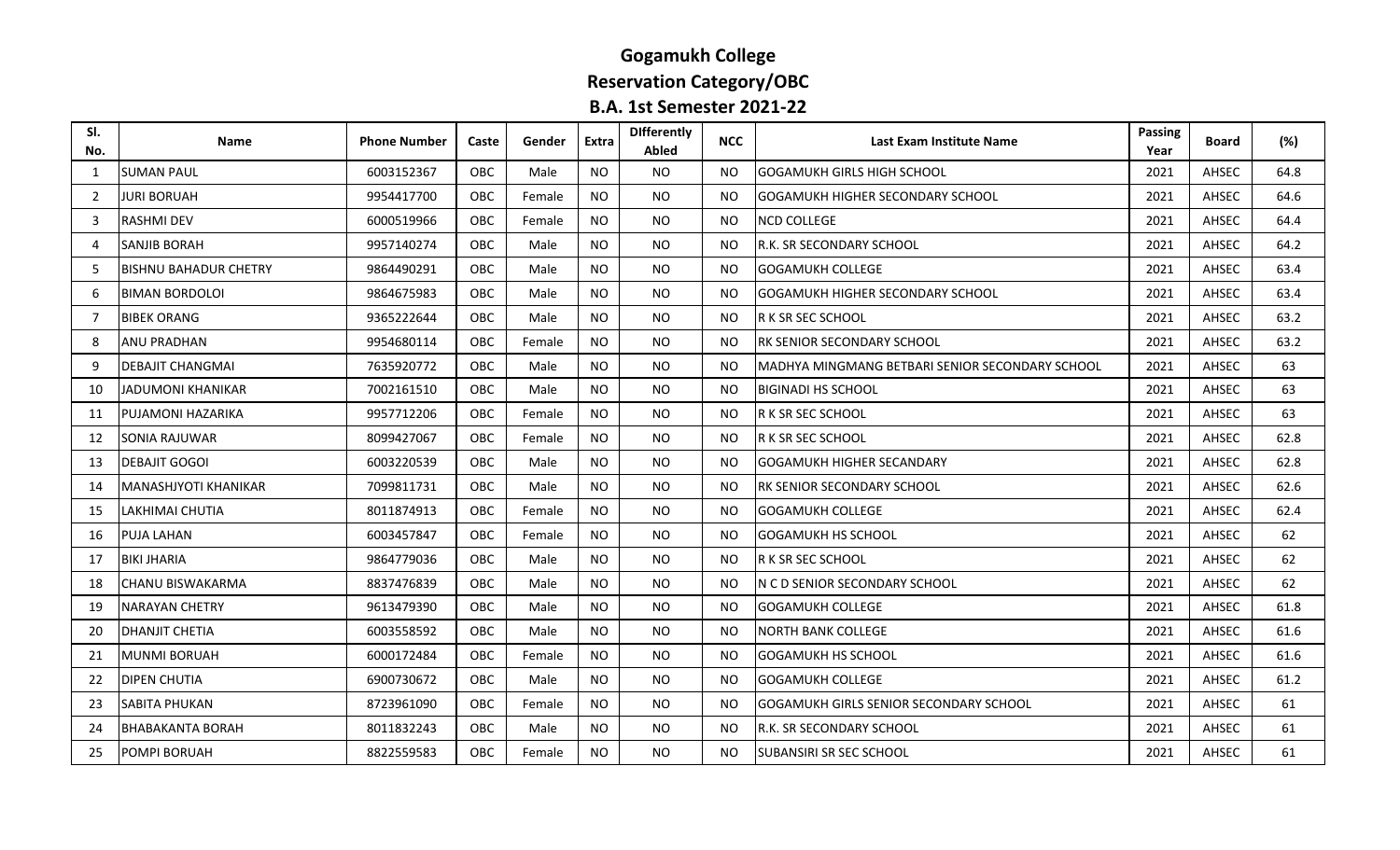#### **Gogamukh College Reservation Category/OBC B.A. 1st Semester 2021-22**

| SI.<br>No.     | <b>Name</b>                  | <b>Phone Number</b> | Caste      | Gender | <b>Extra</b> | <b>Differently</b><br><b>Abled</b> | <b>NCC</b> | Last Exam Institute Name                         | Passing<br>Year | <b>Board</b> | (%)  |
|----------------|------------------------------|---------------------|------------|--------|--------------|------------------------------------|------------|--------------------------------------------------|-----------------|--------------|------|
| 1              | <b>SUMAN PAUL</b>            | 6003152367          | OBC        | Male   | <b>NO</b>    | <b>NO</b>                          | NO.        | <b>GOGAMUKH GIRLS HIGH SCHOOL</b>                | 2021            | AHSEC        | 64.8 |
| 2              | JURI BORUAH                  | 9954417700          | OBC.       | Female | <b>NO</b>    | NO.                                | NO.        | <b>GOGAMUKH HIGHER SECONDARY SCHOOL</b>          | 2021            | AHSEC        | 64.6 |
| 3              | <b>RASHMI DEV</b>            | 6000519966          | OBC        | Female | NO.          | <b>NO</b>                          | NO.        | <b>NCD COLLEGE</b>                               | 2021            | AHSEC        | 64.4 |
| $\overline{4}$ | <b>SANJIB BORAH</b>          | 9957140274          | OBC        | Male   | <b>NO</b>    | <b>NO</b>                          | NO.        | R.K. SR SECONDARY SCHOOL                         | 2021            | AHSEC        | 64.2 |
| 5              | <b>BISHNU BAHADUR CHETRY</b> | 9864490291          | OBC        | Male   | <b>NO</b>    | <b>NO</b>                          | NO.        | <b>GOGAMUKH COLLEGE</b>                          | 2021            | AHSEC        | 63.4 |
| 6              | <b>BIMAN BORDOLOI</b>        | 9864675983          | <b>OBC</b> | Male   | <b>NO</b>    | <b>NO</b>                          | <b>NO</b>  | <b>GOGAMUKH HIGHER SECONDARY SCHOOL</b>          | 2021            | AHSEC        | 63.4 |
| $\overline{7}$ | <b>BIBEK ORANG</b>           | 9365222644          | OBC        | Male   | <b>NO</b>    | NO.                                | NO.        | R K SR SEC SCHOOL                                | 2021            | AHSEC        | 63.2 |
| 8              | <b>ANU PRADHAN</b>           | 9954680114          | <b>OBC</b> | Female | <b>NO</b>    | <b>NO</b>                          | NO.        | RK SENIOR SECONDARY SCHOOL                       | 2021            | AHSEC        | 63.2 |
| 9              | <b>DEBAJIT CHANGMAI</b>      | 7635920772          | <b>OBC</b> | Male   | NO.          | NO.                                | NO.        | IMADHYA MINGMANG BETBARI SENIOR SECONDARY SCHOOL | 2021            | AHSEC        | 63   |
| 10             | JADUMONI KHANIKAR            | 7002161510          | OBC        | Male   | <b>NO</b>    | <b>NO</b>                          | <b>NO</b>  | <b>BIGINADI HS SCHOOL</b>                        | 2021            | AHSEC        | 63   |
| 11             | PUJAMONI HAZARIKA            | 9957712206          | OBC        | Female | <b>NO</b>    | <b>NO</b>                          | NO.        | R K SR SEC SCHOOL                                | 2021            | AHSEC        | 63   |
| 12             | SONIA RAJUWAR                | 8099427067          | <b>OBC</b> | Female | <b>NO</b>    | <b>NO</b>                          | NO.        | <b>R K SR SEC SCHOOL</b>                         | 2021            | AHSEC        | 62.8 |
| 13             | <b>DEBAJIT GOGOI</b>         | 6003220539          | OBC        | Male   | <b>NO</b>    | <b>NO</b>                          | NO.        | <b>GOGAMUKH HIGHER SECANDARY</b>                 | 2021            | AHSEC        | 62.8 |
| 14             | <b>MANASHJYOTI KHANIKAR</b>  | 7099811731          | <b>OBC</b> | Male   | <b>NO</b>    | <b>NO</b>                          | NO.        | RK SENIOR SECONDARY SCHOOL                       | 2021            | AHSEC        | 62.6 |
| 15             | LAKHIMAI CHUTIA              | 8011874913          | OBC        | Female | <b>NO</b>    | <b>NO</b>                          | <b>NO</b>  | <b>GOGAMUKH COLLEGE</b>                          | 2021            | AHSEC        | 62.4 |
| 16             | PUJA LAHAN                   | 6003457847          | <b>OBC</b> | Female | <b>NO</b>    | NO.                                | <b>NO</b>  | <b>GOGAMUKH HS SCHOOL</b>                        | 2021            | AHSEC        | 62   |
| 17             | <b>BIKI JHARIA</b>           | 9864779036          | OBC        | Male   | <b>NO</b>    | <b>NO</b>                          | NO.        | R K SR SEC SCHOOL                                | 2021            | AHSEC        | 62   |
| 18             | CHANU BISWAKARMA             | 8837476839          | OBC        | Male   | <b>NO</b>    | <b>NO</b>                          | NO.        | N C D SENIOR SECONDARY SCHOOL                    | 2021            | AHSEC        | 62   |
| 19             | <b>NARAYAN CHETRY</b>        | 9613479390          | OBC.       | Male   | NO.          | NO.                                | NO.        | <b>GOGAMUKH COLLEGE</b>                          | 2021            | AHSEC        | 61.8 |
| 20             | DHANJIT CHETIA               | 6003558592          | OBC        | Male   | NO.          | <b>NO</b>                          | NO.        | <b>NORTH BANK COLLEGE</b>                        | 2021            | AHSEC        | 61.6 |
| 21             | <b>MUNMI BORUAH</b>          | 6000172484          | OBC        | Female | <b>NO</b>    | NO.                                | <b>NO</b>  | <b>GOGAMUKH HS SCHOOL</b>                        | 2021            | AHSEC        | 61.6 |
| 22             | <b>DIPEN CHUTIA</b>          | 6900730672          | OBC        | Male   | <b>NO</b>    | <b>NO</b>                          | NO.        | <b>GOGAMUKH COLLEGE</b>                          | 2021            | AHSEC        | 61.2 |
| 23             | SABITA PHUKAN                | 8723961090          | <b>OBC</b> | Female | <b>NO</b>    | NO.                                | NO.        | GOGAMUKH GIRLS SENIOR SECONDARY SCHOOL           | 2021            | AHSEC        | 61   |
| 24             | <b>BHABAKANTA BORAH</b>      | 8011832243          | OBC        | Male   | <b>NO</b>    | NO.                                | NO.        | R.K. SR SECONDARY SCHOOL                         | 2021            | AHSEC        | 61   |
| 25             | POMPI BORUAH                 | 8822559583          | <b>OBC</b> | Female | NO.          | NO.                                | NO.        | SUBANSIRI SR SEC SCHOOL                          | 2021            | AHSEC        | 61   |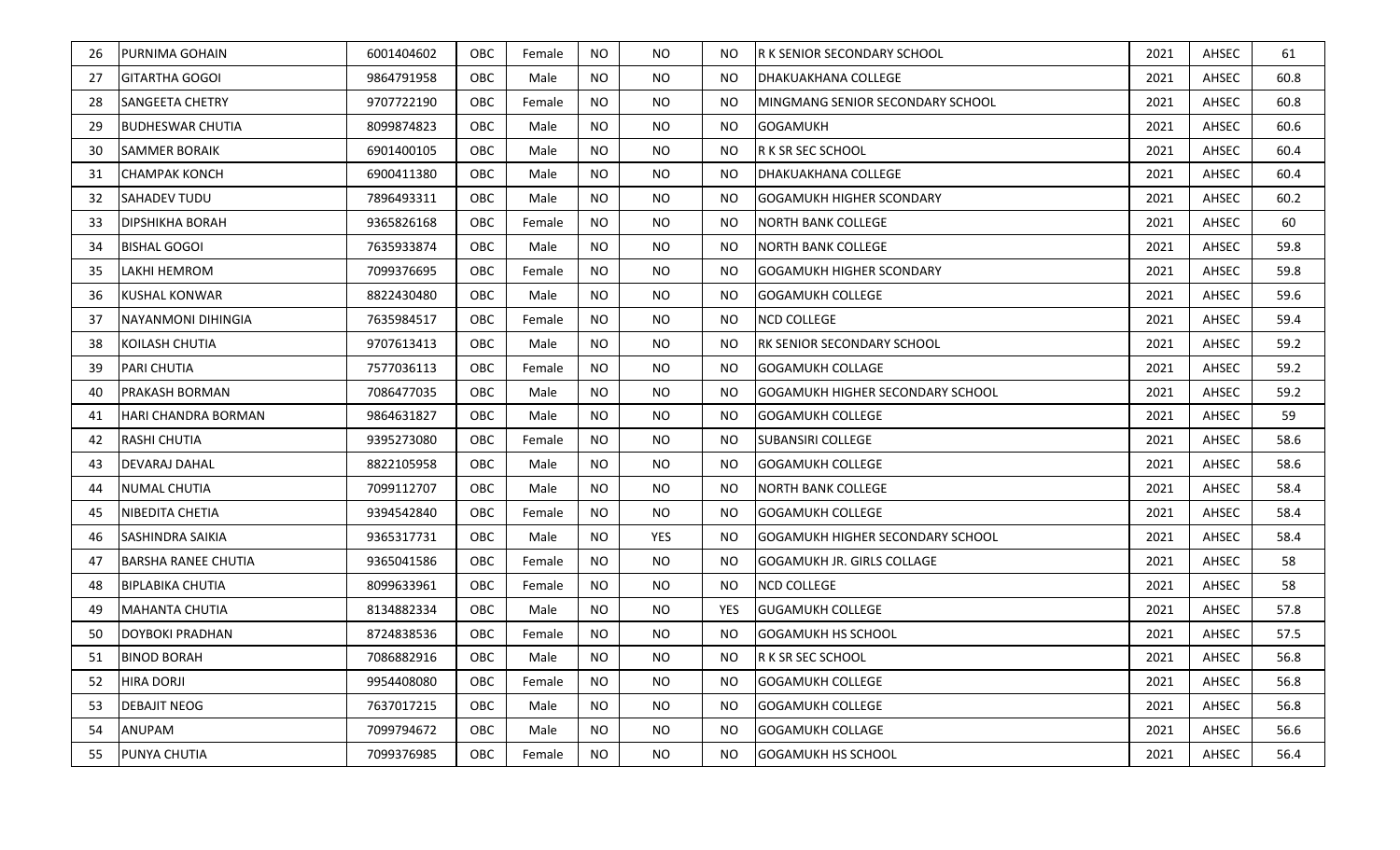| 26 | <b>PURNIMA GOHAIN</b>      | 6001404602 | OBC        | Female | <b>NO</b> | NO.        | NO.        | <b>R K SENIOR SECONDARY SCHOOL</b>       | 2021 | AHSEC | 61   |
|----|----------------------------|------------|------------|--------|-----------|------------|------------|------------------------------------------|------|-------|------|
| 27 | <b>GITARTHA GOGOI</b>      | 9864791958 | OBC        | Male   | <b>NO</b> | NO.        | NO.        | <b>DHAKUAKHANA COLLEGE</b>               | 2021 | AHSEC | 60.8 |
| 28 | SANGEETA CHETRY            | 9707722190 | OBC        | Female | <b>NO</b> | NO.        | NO.        | <b>IMINGMANG SENIOR SECONDARY SCHOOL</b> | 2021 | AHSEC | 60.8 |
| 29 | <b>BUDHESWAR CHUTIA</b>    | 8099874823 | OBC        | Male   | <b>NO</b> | NO.        | NO.        | <b>GOGAMUKH</b>                          | 2021 | AHSEC | 60.6 |
| 30 | <b>SAMMER BORAIK</b>       | 6901400105 | OBC        | Male   | <b>NO</b> | <b>NO</b>  | NO.        | <b>R K SR SEC SCHOOL</b>                 | 2021 | AHSEC | 60.4 |
| 31 | <b>CHAMPAK KONCH</b>       | 6900411380 | OBC        | Male   | <b>NO</b> | <b>NO</b>  | <b>NO</b>  | <b>DHAKUAKHANA COLLEGE</b>               | 2021 | AHSEC | 60.4 |
| 32 | <b>SAHADEV TUDU</b>        | 7896493311 | OBC        | Male   | <b>NO</b> | NO.        | NO.        | <b>GOGAMUKH HIGHER SCONDARY</b>          | 2021 | AHSEC | 60.2 |
| 33 | <b>DIPSHIKHA BORAH</b>     | 9365826168 | <b>OBC</b> | Female | <b>NO</b> | NO.        | NO.        | <b>NORTH BANK COLLEGE</b>                | 2021 | AHSEC | 60   |
| 34 | <b>BISHAL GOGOI</b>        | 7635933874 | OBC        | Male   | <b>NO</b> | NO.        | NO.        | <b>NORTH BANK COLLEGE</b>                | 2021 | AHSEC | 59.8 |
| 35 | LAKHI HEMROM               | 7099376695 | OBC        | Female | <b>NO</b> | <b>NO</b>  | NO.        | <b>GOGAMUKH HIGHER SCONDARY</b>          | 2021 | AHSEC | 59.8 |
| 36 | <b>KUSHAL KONWAR</b>       | 8822430480 | OBC        | Male   | <b>NO</b> | <b>NO</b>  | <b>NO</b>  | <b>GOGAMUKH COLLEGE</b>                  | 2021 | AHSEC | 59.6 |
| 37 | <b>NAYANMONI DIHINGIA</b>  | 7635984517 | OBC        | Female | <b>NO</b> | <b>NO</b>  | <b>NO</b>  | <b>NCD COLLEGE</b>                       | 2021 | AHSEC | 59.4 |
| 38 | KOILASH CHUTIA             | 9707613413 | OBC        | Male   | NO        | NO.        | NO.        | <b>RK SENIOR SECONDARY SCHOOL</b>        | 2021 | AHSEC | 59.2 |
| 39 | <b>PARI CHUTIA</b>         | 7577036113 | OBC        | Female | <b>NO</b> | NO.        | <b>NO</b>  | <b>GOGAMUKH COLLAGE</b>                  | 2021 | AHSEC | 59.2 |
| 40 | <b>PRAKASH BORMAN</b>      | 7086477035 | OBC        | Male   | <b>NO</b> | <b>NO</b>  | NO.        | <b>GOGAMUKH HIGHER SECONDARY SCHOOL</b>  | 2021 | AHSEC | 59.2 |
| 41 | <b>HARI CHANDRA BORMAN</b> | 9864631827 | OBC        | Male   | <b>NO</b> | <b>NO</b>  | <b>NO</b>  | <b>GOGAMUKH COLLEGE</b>                  | 2021 | AHSEC | 59   |
| 42 | <b>RASHI CHUTIA</b>        | 9395273080 | OBC        | Female | <b>NO</b> | NO.        | NO.        | <b>SUBANSIRI COLLEGE</b>                 | 2021 | AHSEC | 58.6 |
| 43 | DEVARAJ DAHAL              | 8822105958 | OBC        | Male   | <b>NO</b> | NO.        | NO.        | <b>GOGAMUKH COLLEGE</b>                  | 2021 | AHSEC | 58.6 |
| 44 | <b>NUMAL CHUTIA</b>        | 7099112707 | OBC        | Male   | <b>NO</b> | <b>NO</b>  | NO.        | <b>NORTH BANK COLLEGE</b>                | 2021 | AHSEC | 58.4 |
| 45 | NIBEDITA CHETIA            | 9394542840 | OBC        | Female | <b>NO</b> | NO.        | NO.        | <b>GOGAMUKH COLLEGE</b>                  | 2021 | AHSEC | 58.4 |
| 46 | <b>SASHINDRA SAIKIA</b>    | 9365317731 | OBC        | Male   | <b>NO</b> | <b>YES</b> | <b>NO</b>  | <b>GOGAMUKH HIGHER SECONDARY SCHOOL</b>  | 2021 | AHSEC | 58.4 |
| 47 | <b>BARSHA RANEE CHUTIA</b> | 9365041586 | OBC        | Female | <b>NO</b> | <b>NO</b>  | NO.        | <b>GOGAMUKH JR. GIRLS COLLAGE</b>        | 2021 | AHSEC | 58   |
| 48 | <b>BIPLABIKA CHUTIA</b>    | 8099633961 | OBC        | Female | NO        | NO.        | NO.        | <b>NCD COLLEGE</b>                       | 2021 | AHSEC | 58   |
| 49 | MAHANTA CHUTIA             | 8134882334 | OBC        | Male   | <b>NO</b> | <b>NO</b>  | <b>YES</b> | <b>GUGAMUKH COLLEGE</b>                  | 2021 | AHSEC | 57.8 |
| 50 | DOYBOKI PRADHAN            | 8724838536 | OBC        | Female | <b>NO</b> | <b>NO</b>  | NO.        | <b>GOGAMUKH HS SCHOOL</b>                | 2021 | AHSEC | 57.5 |
| 51 | <b>BINOD BORAH</b>         | 7086882916 | OBC        | Male   | <b>NO</b> | NO.        | NO.        | R K SR SEC SCHOOL                        | 2021 | AHSEC | 56.8 |
| 52 | <b>HIRA DORJI</b>          | 9954408080 | OBC        | Female | NO        | NO.        | NO.        | <b>GOGAMUKH COLLEGE</b>                  | 2021 | AHSEC | 56.8 |
| 53 | <b>DEBAJIT NEOG</b>        | 7637017215 | <b>OBC</b> | Male   | <b>NO</b> | NO.        | NO.        | <b>GOGAMUKH COLLEGE</b>                  | 2021 | AHSEC | 56.8 |
| 54 | ANUPAM                     | 7099794672 | OBC        | Male   | <b>NO</b> | NO.        | NO.        | <b>GOGAMUKH COLLAGE</b>                  | 2021 | AHSEC | 56.6 |
| 55 | <b>PUNYA CHUTIA</b>        | 7099376985 | OBC        | Female | <b>NO</b> | <b>NO</b>  | NO.        | <b>GOGAMUKH HS SCHOOL</b>                | 2021 | AHSEC | 56.4 |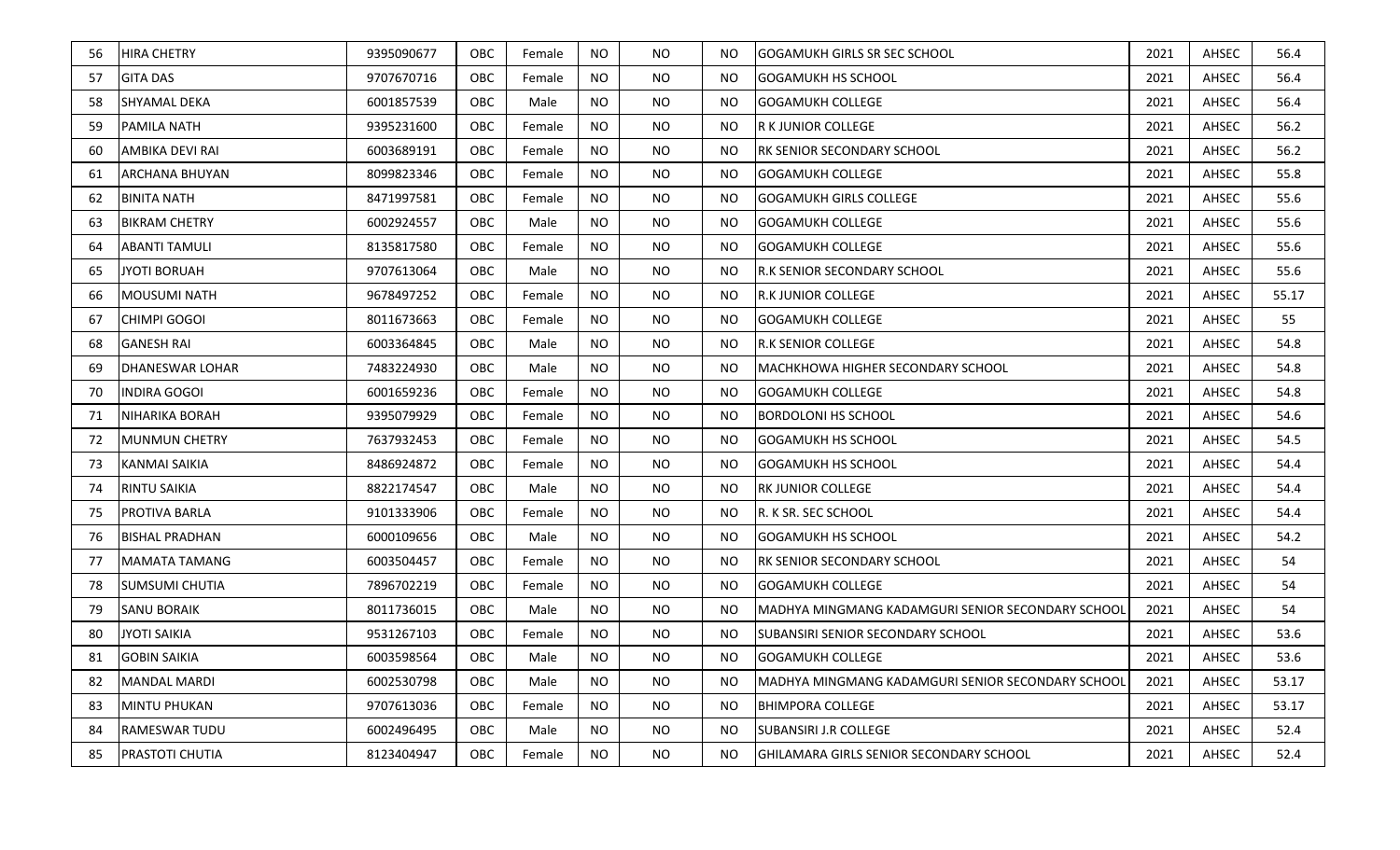| 56 | <b>HIRA CHETRY</b>     | 9395090677 | OBC        | Female | <b>NO</b> | NO.       | NO.       | <b>GOGAMUKH GIRLS SR SEC SCHOOL</b>                |      | AHSEC | 56.4  |
|----|------------------------|------------|------------|--------|-----------|-----------|-----------|----------------------------------------------------|------|-------|-------|
| 57 | <b>GITA DAS</b>        | 9707670716 | OBC        | Female | <b>NO</b> | NO.       | NO.       | <b>GOGAMUKH HS SCHOOL</b>                          |      | AHSEC | 56.4  |
| 58 | SHYAMAL DEKA           | 6001857539 | OBC        | Male   | NO        | NO.       | NO.       | <b>GOGAMUKH COLLEGE</b>                            |      | AHSEC | 56.4  |
| 59 | <b>PAMILA NATH</b>     | 9395231600 | OBC        | Female | <b>NO</b> | NO.       | NO.       | R K JUNIOR COLLEGE<br>2021                         |      | AHSEC | 56.2  |
| 60 | <b>AMBIKA DEVI RAI</b> | 6003689191 | OBC        | Female | <b>NO</b> | <b>NO</b> | NO.       | <b>RK SENIOR SECONDARY SCHOOL</b>                  | 2021 | AHSEC | 56.2  |
| 61 | <b>ARCHANA BHUYAN</b>  | 8099823346 | OBC        | Female | <b>NO</b> | <b>NO</b> | <b>NO</b> | <b>GOGAMUKH COLLEGE</b>                            | 2021 | AHSEC | 55.8  |
| 62 | <b>BINITA NATH</b>     | 8471997581 | OBC        | Female | <b>NO</b> | <b>NO</b> | NO.       | <b>GOGAMUKH GIRLS COLLEGE</b>                      | 2021 | AHSEC | 55.6  |
| 63 | <b>BIKRAM CHETRY</b>   | 6002924557 | OBC        | Male   | <b>NO</b> | <b>NO</b> | NO.       | <b>GOGAMUKH COLLEGE</b>                            | 2021 | AHSEC | 55.6  |
| 64 | <b>ABANTI TAMULI</b>   | 8135817580 | OBC        | Female | <b>NO</b> | <b>NO</b> | NO.       | <b>GOGAMUKH COLLEGE</b>                            | 2021 | AHSEC | 55.6  |
| 65 | JYOTI BORUAH           | 9707613064 | OBC        | Male   | <b>NO</b> | <b>NO</b> | NO.       | <b>R.K SENIOR SECONDARY SCHOOL</b>                 | 2021 | AHSEC | 55.6  |
| 66 | <b>MOUSUMI NATH</b>    | 9678497252 | OBC        | Female | <b>NO</b> | <b>NO</b> | <b>NO</b> | <b>R.K JUNIOR COLLEGE</b>                          | 2021 | AHSEC | 55.17 |
| 67 | <b>CHIMPI GOGOI</b>    | 8011673663 | OBC        | Female | <b>NO</b> | <b>NO</b> | <b>NO</b> | <b>GOGAMUKH COLLEGE</b>                            |      | AHSEC | 55    |
| 68 | <b>GANESH RAI</b>      | 6003364845 | OBC        | Male   | <b>NO</b> | NO.       | NO.       | <b>R.K SENIOR COLLEGE</b>                          |      | AHSEC | 54.8  |
| 69 | <b>DHANESWAR LOHAR</b> | 7483224930 | OBC        | Male   | <b>NO</b> | NO.       | NO.       | MACHKHOWA HIGHER SECONDARY SCHOOL                  |      | AHSEC | 54.8  |
| 70 | <b>INDIRA GOGOI</b>    | 6001659236 | OBC        | Female | <b>NO</b> | <b>NO</b> | NO.       | <b>GOGAMUKH COLLEGE</b>                            |      | AHSEC | 54.8  |
| 71 | <b>NIHARIKA BORAH</b>  | 9395079929 | OBC        | Female | <b>NO</b> | <b>NO</b> | <b>NO</b> | <b>BORDOLONI HS SCHOOL</b>                         | 2021 | AHSEC | 54.6  |
| 72 | <b>MUNMUN CHETRY</b>   | 7637932453 | OBC        | Female | <b>NO</b> | NO.       | NO.       | <b>GOGAMUKH HS SCHOOL</b>                          | 2021 | AHSEC | 54.5  |
| 73 | KANMAI SAIKIA          | 8486924872 | OBC        | Female | <b>NO</b> | NO.       | NO.       | <b>GOGAMUKH HS SCHOOL</b>                          | 2021 | AHSEC | 54.4  |
| 74 | <b>RINTU SAIKIA</b>    | 8822174547 | OBC        | Male   | <b>NO</b> | <b>NO</b> | NO.       | <b>RK JUNIOR COLLEGE</b>                           | 2021 | AHSEC | 54.4  |
| 75 | <b>PROTIVA BARLA</b>   | 9101333906 | OBC        | Female | <b>NO</b> | NO.       | NO.       | R. K SR. SEC SCHOOL                                |      | AHSEC | 54.4  |
| 76 | <b>BISHAL PRADHAN</b>  | 6000109656 | OBC        | Male   | <b>NO</b> | <b>NO</b> | <b>NO</b> | <b>GOGAMUKH HS SCHOOL</b>                          | 2021 | AHSEC | 54.2  |
| 77 | MAMATA TAMANG          | 6003504457 | OBC        | Female | <b>NO</b> | <b>NO</b> | NO.       | <b>RK SENIOR SECONDARY SCHOOL</b>                  | 2021 | AHSEC | 54    |
| 78 | <b>SUMSUMI CHUTIA</b>  | 7896702219 | OBC        | Female | NO        | NO.       | NO.       | <b>GOGAMUKH COLLEGE</b>                            | 2021 | AHSEC | 54    |
| 79 | <b>SANU BORAIK</b>     | 8011736015 | OBC        | Male   | <b>NO</b> | <b>NO</b> | NO.       | IMADHYA MINGMANG KADAMGURI SENIOR SECONDARY SCHOOL | 2021 | AHSEC | 54    |
| 80 | <b>JYOTI SAIKIA</b>    | 9531267103 | OBC        | Female | <b>NO</b> | <b>NO</b> | NO.       | <b>SUBANSIRI SENIOR SECONDARY SCHOOL</b>           | 2021 | AHSEC | 53.6  |
| 81 | <b>GOBIN SAIKIA</b>    | 6003598564 | OBC        | Male   | <b>NO</b> | NO.       | NO.       | <b>GOGAMUKH COLLEGE</b>                            | 2021 | AHSEC | 53.6  |
| 82 | <b>MANDAL MARDI</b>    | 6002530798 | OBC        | Male   | NO        | NO.       | NO.       | IMADHYA MINGMANG KADAMGURI SENIOR SECONDARY SCHOOL | 2021 | AHSEC | 53.17 |
| 83 | <b>MINTU PHUKAN</b>    | 9707613036 | <b>OBC</b> | Female | <b>NO</b> | NO.       | NO.       | <b>BHIMPORA COLLEGE</b>                            | 2021 | AHSEC | 53.17 |
| 84 | <b>RAMESWAR TUDU</b>   | 6002496495 | OBC        | Male   | <b>NO</b> | NO.       | NO.       | <b>SUBANSIRI J.R COLLEGE</b>                       | 2021 | AHSEC | 52.4  |
| 85 | PRASTOTI CHUTIA        | 8123404947 | OBC        | Female | <b>NO</b> | <b>NO</b> | NO.       | GHILAMARA GIRLS SENIOR SECONDARY SCHOOL            | 2021 | AHSEC | 52.4  |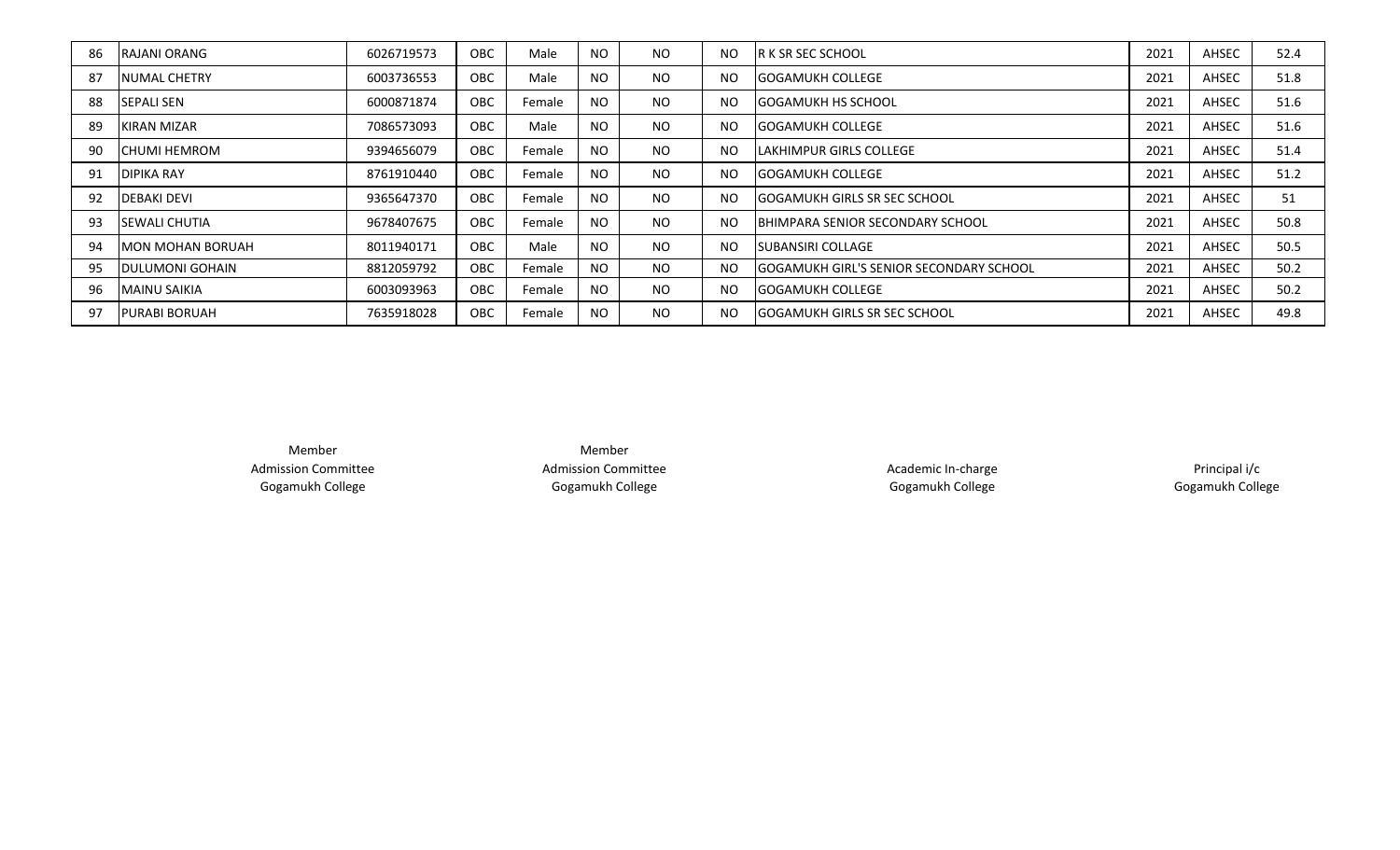| 86 | <b>IRAJANI ORANG</b>     | 6026719573 | OBC        | Male   | <b>NO</b>      | NO. | <b>NO</b>      | <b>IR K SR SEC SCHOOL</b>               |      | AHSEC | 52.4 |
|----|--------------------------|------------|------------|--------|----------------|-----|----------------|-----------------------------------------|------|-------|------|
| 87 | <b>INUMAL CHETRY</b>     | 6003736553 | <b>OBC</b> | Male   | <b>NO</b>      | NO. | N <sub>O</sub> | 2021<br><b>IGOGAMUKH COLLEGE</b>        |      | AHSEC | 51.8 |
| 88 | <b>SEPALI SEN</b>        | 6000871874 | OBC        | Female | <b>NO</b>      | NO. | N <sub>O</sub> | 2021<br>IGOGAMUKH HS SCHOOL             |      | AHSEC | 51.6 |
| 89 | <b>IKIRAN MIZAR</b>      | 7086573093 | <b>OBC</b> | Male   | <b>NO</b>      | NO. | N <sub>O</sub> | 2021<br>IGOGAMUKH COLLEGE               |      | AHSEC | 51.6 |
| 90 | <b>ICHUMI HEMROM</b>     | 9394656079 | <b>OBC</b> | Female | N <sub>O</sub> | NO. | <b>NO</b>      | ILAKHIMPUR GIRLS COLLEGE                |      | AHSEC | 51.4 |
| 91 | <b>DIPIKA RAY</b>        | 8761910440 | OBC        | Female | <b>NO</b>      | NO. | N <sub>O</sub> | <b>IGOGAMUKH COLLEGE</b>                |      | AHSEC | 51.2 |
| 92 | <b>DEBAKI DEVI</b>       | 9365647370 | OBC        | Female | <b>NO</b>      | NO. | N <sub>O</sub> | <b>IGOGAMUKH GIRLS SR SEC SCHOOL</b>    |      | AHSEC | 51   |
| 93 | <b>ISEWALI CHUTIA</b>    | 9678407675 | OBC        | Female | <b>NO</b>      | NO. | <b>NO</b>      | IBHIMPARA SENIOR SECONDARY SCHOOL       |      | AHSEC | 50.8 |
| 94 | <b>IMON MOHAN BORUAH</b> | 8011940171 | <b>OBC</b> | Male   | <b>NO</b>      | NO. | <b>NO</b>      | <b>ISUBANSIRI COLLAGE</b>               |      | AHSEC | 50.5 |
| 95 | <b>IDULUMONI GOHAIN</b>  | 8812059792 | <b>OBC</b> | Female | <b>NO</b>      | NO. | <b>NO</b>      | GOGAMUKH GIRL'S SENIOR SECONDARY SCHOOL | 2021 | AHSEC | 50.2 |
| 96 | <b>MAINU SAIKIA</b>      | 6003093963 | OBC        | Female | <b>NO</b>      | NO. | <b>NO</b>      | <b>IGOGAMUKH COLLEGE</b>                | 2021 | AHSEC | 50.2 |
| 97 | <b>IPURABI BORUAH</b>    | 7635918028 | OBC        | Female | <b>NO</b>      | NO. | <b>NO</b>      | <b>IGOGAMUKH GIRLS SR SEC SCHOOL</b>    | 2021 | AHSEC | 49.8 |

Member Admission Committee Gogamukh College

Member Admission Committee Gogamukh College

Academic In-charge Gogamukh College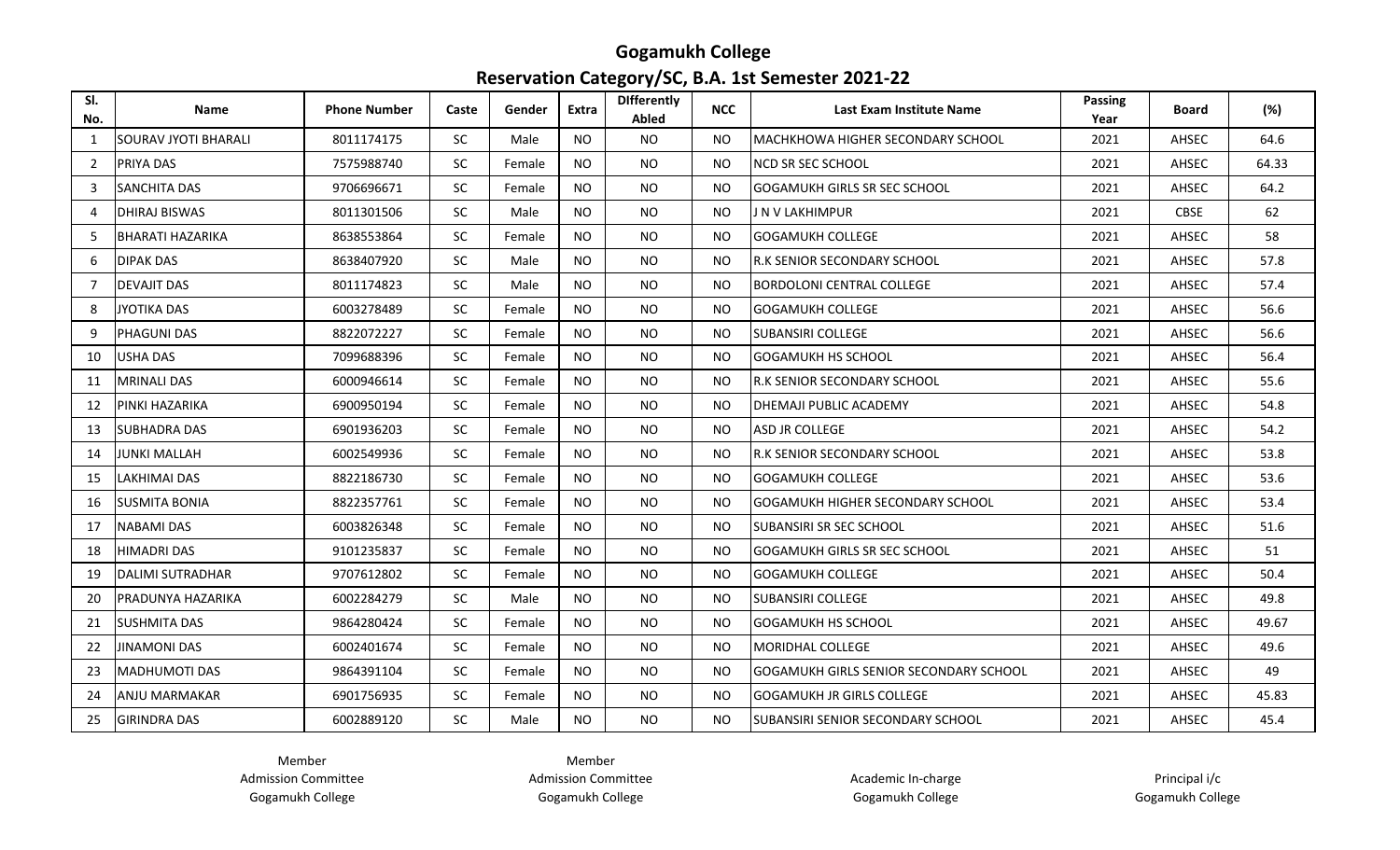#### **Gogamukh College Reservation Category/SC, B.A. 1st Semester 2021-22**

| SI.<br>No.     | <b>Name</b>             | <b>Phone Number</b> | Caste     | Gender | Extra     | <b>Differently</b><br>Abled | <b>NCC</b> | Last Exam Institute Name                      | <b>Passing</b><br>Year | <b>Board</b> | (%)   |
|----------------|-------------------------|---------------------|-----------|--------|-----------|-----------------------------|------------|-----------------------------------------------|------------------------|--------------|-------|
| 1              | SOURAV JYOTI BHARALI    | 8011174175          | <b>SC</b> | Male   | <b>NO</b> | <b>NO</b>                   | NO.        | IMACHKHOWA HIGHER SECONDARY SCHOOL            | 2021                   | AHSEC        | 64.6  |
| 2              | PRIYA DAS               | 7575988740          | <b>SC</b> | Female | <b>NO</b> | <b>NO</b>                   | <b>NO</b>  | NCD SR SEC SCHOOL                             | 2021                   | AHSEC        | 64.33 |
| 3              | SANCHITA DAS            | 9706696671          | <b>SC</b> | Female | <b>NO</b> | <b>NO</b>                   | NO.        | GOGAMUKH GIRLS SR SEC SCHOOL                  | 2021                   | AHSEC        | 64.2  |
| $\overline{a}$ | DHIRAJ BISWAS           | 8011301506          | <b>SC</b> | Male   | <b>NO</b> | NO.                         | NO.        | J N V LAKHIMPUR                               | 2021                   | <b>CBSE</b>  | 62    |
| 5              | <b>BHARATI HAZARIKA</b> | 8638553864          | <b>SC</b> | Female | <b>NO</b> | <b>NO</b>                   | <b>NO</b>  | <b>GOGAMUKH COLLEGE</b>                       | 2021                   | AHSEC        | 58    |
| 6              | DIPAK DAS               | 8638407920          | <b>SC</b> | Male   | <b>NO</b> | <b>NO</b>                   | NO.        | R.K SENIOR SECONDARY SCHOOL                   | 2021                   | AHSEC        | 57.8  |
| $\overline{7}$ | DEVAJIT DAS             | 8011174823          | <b>SC</b> | Male   | <b>NO</b> | <b>NO</b>                   | NO.        | <b>BORDOLONI CENTRAL COLLEGE</b>              | 2021                   | AHSEC        | 57.4  |
| 8              | <b>JYOTIKA DAS</b>      | 6003278489          | <b>SC</b> | Female | <b>NO</b> | <b>NO</b>                   | <b>NO</b>  | <b>GOGAMUKH COLLEGE</b>                       | 2021                   | AHSEC        | 56.6  |
| 9              | <b>PHAGUNI DAS</b>      | 8822072227          | <b>SC</b> | Female | <b>NO</b> | NO                          | NO.        | <b>SUBANSIRI COLLEGE</b>                      | 2021                   | AHSEC        | 56.6  |
| 10             | USHA DAS                | 7099688396          | <b>SC</b> | Female | <b>NO</b> | <b>NO</b>                   | <b>NO</b>  | GOGAMUKH HS SCHOOL                            | 2021                   | AHSEC        | 56.4  |
| 11             | MRINALI DAS             | 6000946614          | <b>SC</b> | Female | <b>NO</b> | NO.                         | NO.        | R.K SENIOR SECONDARY SCHOOL                   | 2021                   | AHSEC        | 55.6  |
| 12             | PINKI HAZARIKA          | 6900950194          | <b>SC</b> | Female | <b>NO</b> | <b>NO</b>                   | NO.        | DHEMAJI PUBLIC ACADEMY                        | 2021                   | AHSEC        | 54.8  |
| 13             | <b>SUBHADRA DAS</b>     | 6901936203          | <b>SC</b> | Female | <b>NO</b> | <b>NO</b>                   | <b>NO</b>  | ASD JR COLLEGE                                | 2021                   | AHSEC        | 54.2  |
| 14             | IJUNKI MALLAH           | 6002549936          | <b>SC</b> | Female | NO        | NO.                         | NO.        | R.K SENIOR SECONDARY SCHOOL                   | 2021                   | AHSEC        | 53.8  |
| 15             | LAKHIMAI DAS            | 8822186730          | <b>SC</b> | Female | <b>NO</b> | NO.                         | NO.        | <b>GOGAMUKH COLLEGE</b>                       | 2021                   | AHSEC        | 53.6  |
| 16             | <b>SUSMITA BONIA</b>    | 8822357761          | <b>SC</b> | Female | <b>NO</b> | <b>NO</b>                   | <b>NO</b>  | GOGAMUKH HIGHER SECONDARY SCHOOL              | 2021                   | AHSEC        | 53.4  |
| 17             | NABAMI DAS              | 6003826348          | <b>SC</b> | Female | <b>NO</b> | <b>NO</b>                   | NO.        | SUBANSIRI SR SEC SCHOOL                       | 2021                   | AHSEC        | 51.6  |
| 18             | <b>HIMADRI DAS</b>      | 9101235837          | <b>SC</b> | Female | <b>NO</b> | NO.                         | NO.        | <b>GOGAMUKH GIRLS SR SEC SCHOOL</b>           | 2021                   | AHSEC        | 51    |
| 19             | <b>DALIMI SUTRADHAR</b> | 9707612802          | <b>SC</b> | Female | <b>NO</b> | <b>NO</b>                   | NO.        | <b>GOGAMUKH COLLEGE</b>                       | 2021                   | AHSEC        | 50.4  |
| 20             | PRADUNYA HAZARIKA       | 6002284279          | <b>SC</b> | Male   | <b>NO</b> | <b>NO</b>                   | NO.        | <b>SUBANSIRI COLLEGE</b>                      | 2021                   | AHSEC        | 49.8  |
| 21             | <b>SUSHMITA DAS</b>     | 9864280424          | <b>SC</b> | Female | <b>NO</b> | NO.                         | NO.        | <b>GOGAMUKH HS SCHOOL</b>                     | 2021                   | AHSEC        | 49.67 |
| 22             | <b>JINAMONI DAS</b>     | 6002401674          | <b>SC</b> | Female | <b>NO</b> | NO.                         | NO.        | <b>MORIDHAL COLLEGE</b>                       | 2021                   | AHSEC        | 49.6  |
| 23             | <b>MADHUMOTI DAS</b>    | 9864391104          | <b>SC</b> | Female | <b>NO</b> | <b>NO</b>                   | NO.        | <b>GOGAMUKH GIRLS SENIOR SECONDARY SCHOOL</b> | 2021                   | AHSEC        | 49    |
| 24             | ANJU MARMAKAR           | 6901756935          | <b>SC</b> | Female | <b>NO</b> | <b>NO</b>                   | <b>NO</b>  | GOGAMUKH JR GIRLS COLLEGE                     | 2021                   | AHSEC        | 45.83 |
| 25             | <b>GIRINDRA DAS</b>     | 6002889120          | <b>SC</b> | Male   | NO.       | NO.                         | NO.        | SUBANSIRI SENIOR SECONDARY SCHOOL             | 2021                   | AHSEC        | 45.4  |

Member Admission Committee Gogamukh College

Member Admission Committee Gogamukh College

Academic In-charge Gogamukh College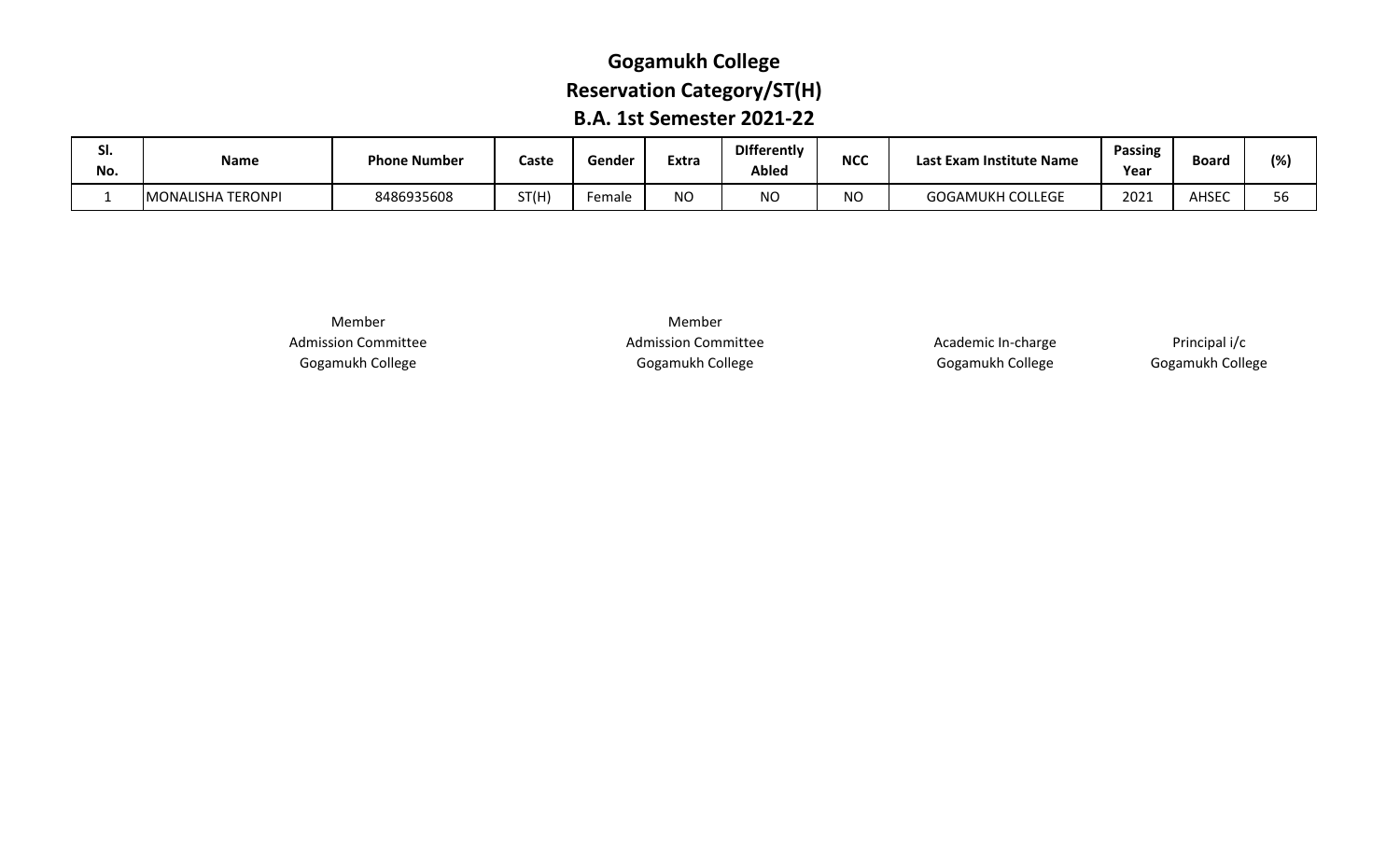# **Gogamukh College Reservation Category/ST(H) B.A. 1st Semester 2021-22**

| JI.<br>No. | <b>Name</b>       | <b>Phone Number</b> | Caste | Gender | Extra         | <b>Differently</b><br><b>Abled</b> | <b>NCC</b> | t Exam Institute Name.<br>Last | <b>Passing</b><br>Year | Board | $(%_{1})$        |
|------------|-------------------|---------------------|-------|--------|---------------|------------------------------------|------------|--------------------------------|------------------------|-------|------------------|
|            | MONALISHA TERONPI | 8486935608          | ST(H) | Female | $\sim$<br>טיי | <b>NO</b>                          | ΝO         | <b>GOGAMUKH COLLEGE</b>        | 2021                   | AHSEC | $ -$<br>הה<br>Ju |

Member Admission Committee Gogamukh College

Member Admission Committee Gogamukh College

Academic In-charge Gogamukh College